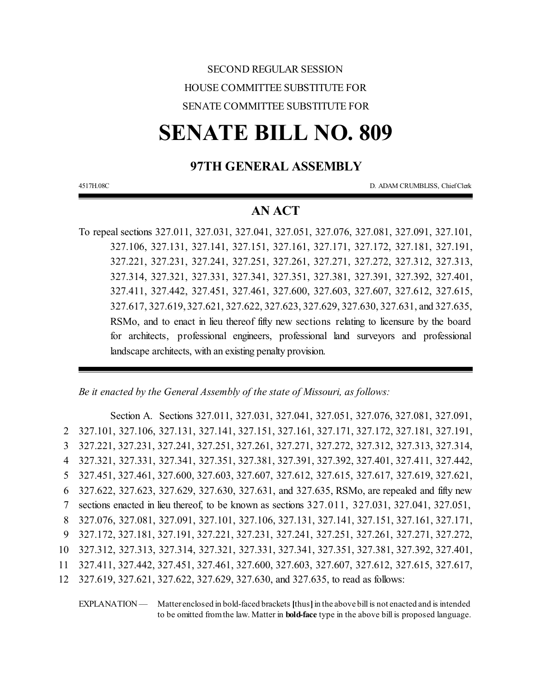## SECOND REGULAR SESSION HOUSE COMMITTEE SUBSTITUTE FOR SENATE COMMITTEE SUBSTITUTE FOR

# **SENATE BILL NO. 809**

## **97TH GENERAL ASSEMBLY**

4517H.08C D. ADAM CRUMBLISS, ChiefClerk

## **AN ACT**

To repeal sections 327.011, 327.031, 327.041, 327.051, 327.076, 327.081, 327.091, 327.101, 327.106, 327.131, 327.141, 327.151, 327.161, 327.171, 327.172, 327.181, 327.191, 327.221, 327.231, 327.241, 327.251, 327.261, 327.271, 327.272, 327.312, 327.313, 327.314, 327.321, 327.331, 327.341, 327.351, 327.381, 327.391, 327.392, 327.401, 327.411, 327.442, 327.451, 327.461, 327.600, 327.603, 327.607, 327.612, 327.615, 327.617, 327.619, 327.621, 327.622, 327.623, 327.629, 327.630, 327.631, and 327.635, RSMo, and to enact in lieu thereof fifty new sections relating to licensure by the board for architects, professional engineers, professional land surveyors and professional landscape architects, with an existing penalty provision.

*Be it enacted by the General Assembly of the state of Missouri, as follows:*

Section A. Sections 327.011, 327.031, 327.041, 327.051, 327.076, 327.081, 327.091, 327.101, 327.106, 327.131, 327.141, 327.151, 327.161, 327.171, 327.172, 327.181, 327.191, 327.221, 327.231, 327.241, 327.251, 327.261, 327.271, 327.272, 327.312, 327.313, 327.314, 327.321, 327.331, 327.341, 327.351, 327.381, 327.391, 327.392, 327.401, 327.411, 327.442, 327.451, 327.461, 327.600, 327.603, 327.607, 327.612, 327.615, 327.617, 327.619, 327.621, 327.622, 327.623, 327.629, 327.630, 327.631, and 327.635, RSMo, are repealed and fifty new sections enacted in lieu thereof, to be known as sections 327.011, 327.031, 327.041, 327.051, 327.076, 327.081, 327.091, 327.101, 327.106, 327.131, 327.141, 327.151, 327.161, 327.171, 327.172, 327.181, 327.191, 327.221, 327.231, 327.241, 327.251, 327.261, 327.271, 327.272, 327.312, 327.313, 327.314, 327.321, 327.331, 327.341, 327.351, 327.381, 327.392, 327.401, 327.411, 327.442, 327.451, 327.461, 327.600, 327.603, 327.607, 327.612, 327.615, 327.617, 327.619, 327.621, 327.622, 327.629, 327.630, and 327.635, to read as follows:

EXPLANATION — Matter enclosed in bold-faced brackets [thus] in the above bill is not enacted and is intended to be omitted fromthe law. Matter in **bold-face** type in the above bill is proposed language.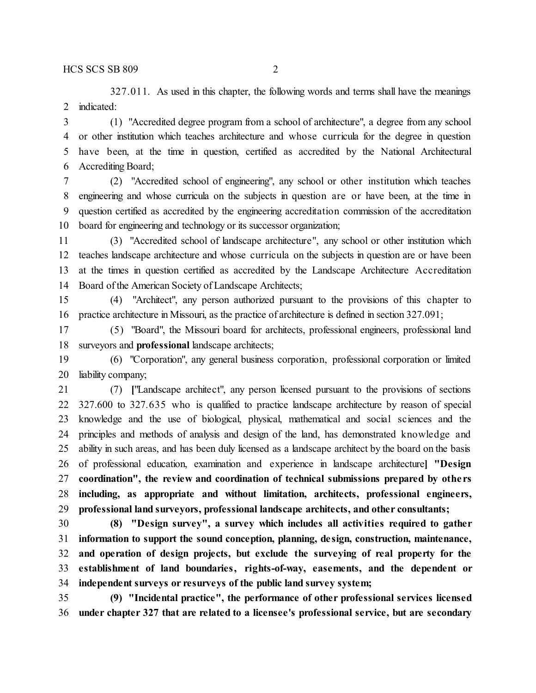327.011. As used in this chapter, the following words and terms shall have the meanings indicated:

 (1) "Accredited degree program from a school of architecture", a degree from any school or other institution which teaches architecture and whose curricula for the degree in question have been, at the time in question, certified as accredited by the National Architectural Accrediting Board;

 (2) "Accredited school of engineering", any school or other institution which teaches engineering and whose curricula on the subjects in question are or have been, at the time in question certified as accredited by the engineering accreditation commission of the accreditation board for engineering and technology or its successor organization;

 (3) "Accredited school of landscape architecture", any school or other institution which teaches landscape architecture and whose curricula on the subjects in question are or have been at the times in question certified as accredited by the Landscape Architecture Accreditation Board of the American Society of Landscape Architects;

 (4) "Architect", any person authorized pursuant to the provisions of this chapter to practice architecture in Missouri, as the practice of architecture is defined in section 327.091;

 (5) "Board", the Missouri board for architects, professional engineers, professional land surveyors and **professional** landscape architects;

 (6) "Corporation", any general business corporation, professional corporation or limited liability company;

 (7) **[**"Landscape architect", any person licensed pursuant to the provisions of sections 327.600 to 327.635 who is qualified to practice landscape architecture by reason of special knowledge and the use of biological, physical, mathematical and social sciences and the principles and methods of analysis and design of the land, has demonstrated knowledge and ability in such areas, and has been duly licensed as a landscape architect by the board on the basis of professional education, examination and experience in landscape architecture**] "Design coordination", the review and coordination of technical submissions prepared by othe rs including, as appropriate and without limitation, architects, professional engineers, professional land surveyors, professional landscape architects, and other consultants;**

 **(8) "Design survey", a survey which includes all activities required to gather information to support the sound conception, planning, de sign, construction, maintenance, and operation of design projects, but exclude the surveying of real property for the establishment of land boundaries, rights-of-way, easements, and the dependent or independent surveys or resurveys of the public land survey system;**

 **(9) "Incidental practice", the performance of other professional services licensed under chapter 327 that are related to a licensee's professional service, but are secondary**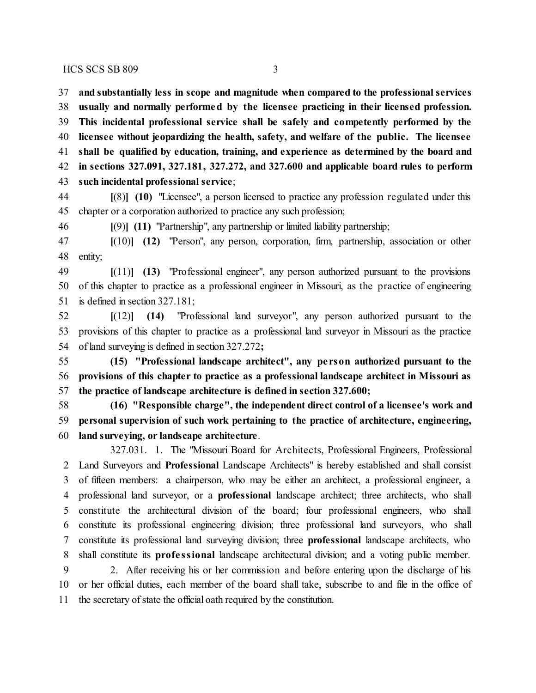$HCS$  SCS SB 809 3

 **and substantially less in scope and magnitude when compared to the professional services usually and normally performed by the licensee practicing in their licensed profession. This incidental professional service shall be safely and competently performed by the licensee without jeopardizing the health, safety, and welfare of the public. The licensee shall be qualified by education, training, and experience as determined by the board and in sections 327.091, 327.181, 327.272, and 327.600 and applicable board rules to perform such incidental professional service**;

 **[**(8)**] (10)** "Licensee", a person licensed to practice any profession regulated under this chapter or a corporation authorized to practice any such profession;

**[**(9)**] (11)** "Partnership", any partnership or limited liability partnership;

 **[**(10)**] (12)** "Person", any person, corporation, firm, partnership, association or other entity;

 **[**(11)**] (13)** "Professional engineer", any person authorized pursuant to the provisions of this chapter to practice as a professional engineer in Missouri, as the practice of engineering is defined in section 327.181;

 **[**(12)**] (14)** "Professional land surveyor", any person authorized pursuant to the provisions of this chapter to practice as a professional land surveyor in Missouri as the practice of land surveying is defined in section 327.272**;**

 **(15) "Professional landscape architect", any pe rson authorized pursuant to the provisions of this chapter to practice as a professional landscape architect in Missouri as the practice of landscape architecture is defined in section 327.600;**

 **(16) "Responsible charge", the independent direct control of a licensee's work and personal supervision of such work pertaining to the practice of architecture, engineering, land surveying, or landscape architecture**.

327.031. 1. The "Missouri Board for Architects, Professional Engineers, Professional Land Surveyors and **Professional** Landscape Architects" is hereby established and shall consist of fifteen members: a chairperson, who may be either an architect, a professional engineer, a professional land surveyor, or a **professional** landscape architect; three architects, who shall constitute the architectural division of the board; four professional engineers, who shall constitute its professional engineering division; three professional land surveyors, who shall constitute its professional land surveying division; three **professional** landscape architects, who shall constitute its **profe ssional** landscape architectural division; and a voting public member.

 2. After receiving his or her commission and before entering upon the discharge of his or her official duties, each member of the board shall take, subscribe to and file in the office of the secretary of state the official oath required by the constitution.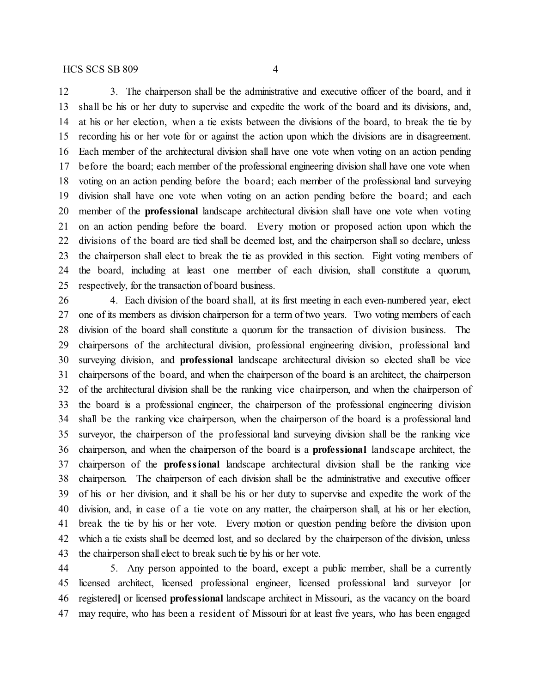3. The chairperson shall be the administrative and executive officer of the board, and it shall be his or her duty to supervise and expedite the work of the board and its divisions, and, at his or her election, when a tie exists between the divisions of the board, to break the tie by recording his or her vote for or against the action upon which the divisions are in disagreement. Each member of the architectural division shall have one vote when voting on an action pending before the board; each member of the professional engineering division shall have one vote when voting on an action pending before the board; each member of the professional land surveying division shall have one vote when voting on an action pending before the board; and each member of the **professional** landscape architectural division shall have one vote when voting on an action pending before the board. Every motion or proposed action upon which the divisions of the board are tied shall be deemed lost, and the chairperson shall so declare, unless the chairperson shall elect to break the tie as provided in this section. Eight voting members of the board, including at least one member of each division, shall constitute a quorum, respectively, for the transaction of board business.

 4. Each division of the board shall, at its first meeting in each even-numbered year, elect one of its members as division chairperson for a term of two years. Two voting members of each division of the board shall constitute a quorum for the transaction of division business. The chairpersons of the architectural division, professional engineering division, professional land surveying division, and **professional** landscape architectural division so elected shall be vice chairpersons of the board, and when the chairperson of the board is an architect, the chairperson of the architectural division shall be the ranking vice chairperson, and when the chairperson of the board is a professional engineer, the chairperson of the professional engineering division shall be the ranking vice chairperson, when the chairperson of the board is a professional land surveyor, the chairperson of the professional land surveying division shall be the ranking vice chairperson, and when the chairperson of the board is a **professional** landscape architect, the chairperson of the **profe ssional** landscape architectural division shall be the ranking vice chairperson. The chairperson of each division shall be the administrative and executive officer of his or her division, and it shall be his or her duty to supervise and expedite the work of the division, and, in case of a tie vote on any matter, the chairperson shall, at his or her election, break the tie by his or her vote. Every motion or question pending before the division upon which a tie exists shall be deemed lost, and so declared by the chairperson of the division, unless the chairperson shall elect to break such tie by his or her vote.

 5. Any person appointed to the board, except a public member, shall be a currently licensed architect, licensed professional engineer, licensed professional land surveyor **[**or registered**]** or licensed **professional** landscape architect in Missouri, as the vacancy on the board may require, who has been a resident of Missouri for at least five years, who has been engaged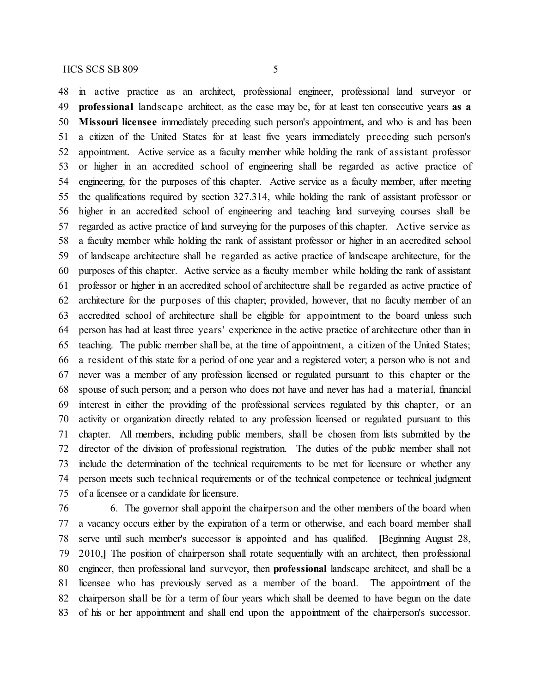in active practice as an architect, professional engineer, professional land surveyor or **professional** landscape architect, as the case may be, for at least ten consecutive years **as a Missouri licensee** immediately preceding such person's appointment**,** and who is and has been a citizen of the United States for at least five years immediately preceding such person's appointment. Active service as a faculty member while holding the rank of assistant professor or higher in an accredited school of engineering shall be regarded as active practice of engineering, for the purposes of this chapter. Active service as a faculty member, after meeting the qualifications required by section 327.314, while holding the rank of assistant professor or higher in an accredited school of engineering and teaching land surveying courses shall be regarded as active practice of land surveying for the purposes of this chapter. Active service as a faculty member while holding the rank of assistant professor or higher in an accredited school of landscape architecture shall be regarded as active practice of landscape architecture, for the purposes of this chapter. Active service as a faculty member while holding the rank of assistant professor or higher in an accredited school of architecture shall be regarded as active practice of architecture for the purposes of this chapter; provided, however, that no faculty member of an accredited school of architecture shall be eligible for appointment to the board unless such person has had at least three years' experience in the active practice of architecture other than in teaching. The public member shall be, at the time of appointment, a citizen of the United States; a resident of this state for a period of one year and a registered voter; a person who is not and never was a member of any profession licensed or regulated pursuant to this chapter or the spouse of such person; and a person who does not have and never has had a material, financial interest in either the providing of the professional services regulated by this chapter, or an activity or organization directly related to any profession licensed or regulated pursuant to this chapter. All members, including public members, shall be chosen from lists submitted by the director of the division of professional registration. The duties of the public member shall not include the determination of the technical requirements to be met for licensure or whether any person meets such technical requirements or of the technical competence or technical judgment of a licensee or a candidate for licensure.

 6. The governor shall appoint the chairperson and the other members of the board when a vacancy occurs either by the expiration of a term or otherwise, and each board member shall serve until such member's successor is appointed and has qualified. **[**Beginning August 28, 2010,**]** The position of chairperson shall rotate sequentially with an architect, then professional engineer, then professional land surveyor, then **professional** landscape architect, and shall be a licensee who has previously served as a member of the board. The appointment of the chairperson shall be for a term of four years which shall be deemed to have begun on the date of his or her appointment and shall end upon the appointment of the chairperson's successor.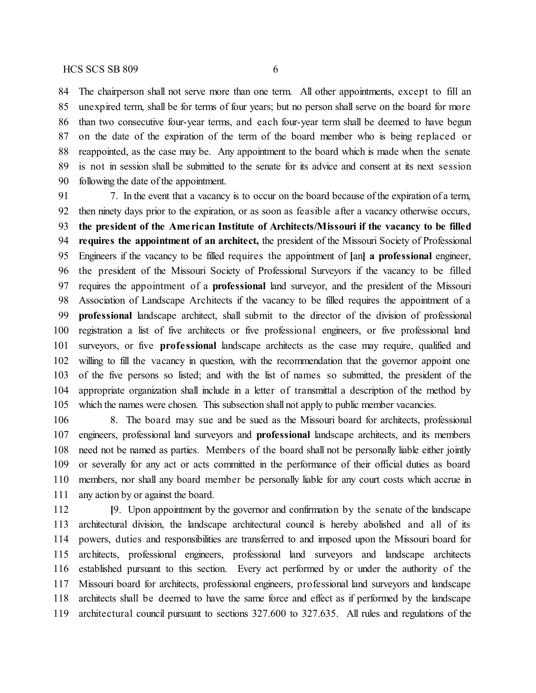The chairperson shall not serve more than one term. All other appointments, except to fill an unexpired term, shall be for terms of four years; but no person shall serve on the board for more than two consecutive four-year terms, and each four-year term shall be deemed to have begun on the date of the expiration of the term of the board member who is being replaced or reappointed, as the case may be. Any appointment to the board which is made when the senate is not in session shall be submitted to the senate for its advice and consent at its next session following the date of the appointment.

 7. In the event that a vacancy is to occur on the board because of the expiration of a term, then ninety days prior to the expiration, or as soon as feasible after a vacancy otherwise occurs, **the president of the Ame rican Institute of Architects/Missouri if the vacancy to be filled requires the appointment of an architect,** the president of the Missouri Society of Professional Engineers if the vacancy to be filled requires the appointment of **[**an**] a professional** engineer, the president of the Missouri Society of Professional Surveyors if the vacancy to be filled requires the appointment of a **professional** land surveyor, and the president of the Missouri Association of Landscape Architects if the vacancy to be filled requires the appointment of a **professional** landscape architect, shall submit to the director of the division of professional registration a list of five architects or five professional engineers, or five professional land surveyors, or five **profe ssional** landscape architects as the case may require, qualified and willing to fill the vacancy in question, with the recommendation that the governor appoint one of the five persons so listed; and with the list of names so submitted, the president of the appropriate organization shall include in a letter of transmittal a description of the method by which the names were chosen. This subsection shall not apply to public member vacancies.

 8. The board may sue and be sued as the Missouri board for architects, professional engineers, professional land surveyors and **professional** landscape architects, and its members need not be named as parties. Members of the board shall not be personally liable either jointly or severally for any act or acts committed in the performance of their official duties as board members, nor shall any board member be personally liable for any court costs which accrue in 111 any action by or against the board.

 **[**9. Upon appointment by the governor and confirmation by the senate of the landscape architectural division, the landscape architectural council is hereby abolished and all of its powers, duties and responsibilities are transferred to and imposed upon the Missouri board for architects, professional engineers, professional land surveyors and landscape architects established pursuant to this section. Every act performed by or under the authority of the Missouri board for architects, professional engineers, professional land surveyors and landscape architects shall be deemed to have the same force and effect as if performed by the landscape architectural council pursuant to sections 327.600 to 327.635. All rules and regulations of the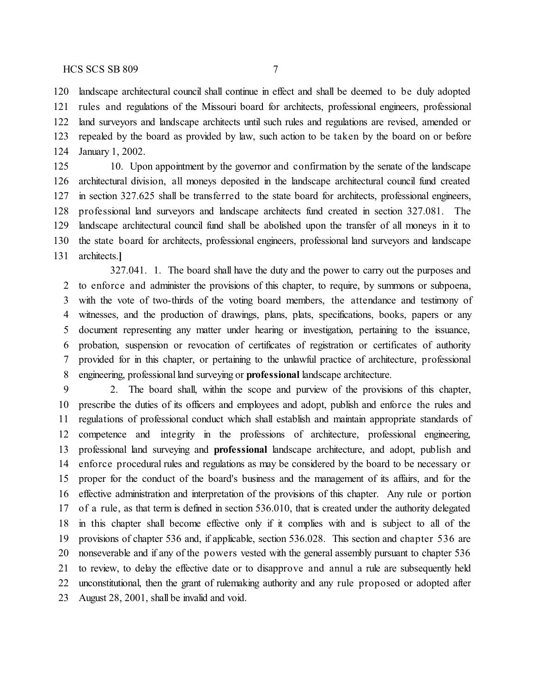landscape architectural council shall continue in effect and shall be deemed to be duly adopted rules and regulations of the Missouri board for architects, professional engineers, professional land surveyors and landscape architects until such rules and regulations are revised, amended or repealed by the board as provided by law, such action to be taken by the board on or before January 1, 2002.

 10. Upon appointment by the governor and confirmation by the senate of the landscape architectural division, all moneys deposited in the landscape architectural council fund created in section 327.625 shall be transferred to the state board for architects, professional engineers, professional land surveyors and landscape architects fund created in section 327.081. The landscape architectural council fund shall be abolished upon the transfer of all moneys in it to the state board for architects, professional engineers, professional land surveyors and landscape architects.**]**

327.041. 1. The board shall have the duty and the power to carry out the purposes and to enforce and administer the provisions of this chapter, to require, by summons or subpoena, with the vote of two-thirds of the voting board members, the attendance and testimony of witnesses, and the production of drawings, plans, plats, specifications, books, papers or any document representing any matter under hearing or investigation, pertaining to the issuance, probation, suspension or revocation of certificates of registration or certificates of authority provided for in this chapter, or pertaining to the unlawful practice of architecture, professional engineering, professional land surveying or **professional** landscape architecture.

 2. The board shall, within the scope and purview of the provisions of this chapter, prescribe the duties of its officers and employees and adopt, publish and enforce the rules and regulations of professional conduct which shall establish and maintain appropriate standards of competence and integrity in the professions of architecture, professional engineering, professional land surveying and **professional** landscape architecture, and adopt, publish and enforce procedural rules and regulations as may be considered by the board to be necessary or proper for the conduct of the board's business and the management of its affairs, and for the effective administration and interpretation of the provisions of this chapter. Any rule or portion of a rule, as that term is defined in section 536.010, that is created under the authority delegated in this chapter shall become effective only if it complies with and is subject to all of the provisions of chapter 536 and, if applicable, section 536.028. This section and chapter 536 are nonseverable and if any of the powers vested with the general assembly pursuant to chapter 536 to review, to delay the effective date or to disapprove and annul a rule are subsequently held unconstitutional, then the grant of rulemaking authority and any rule proposed or adopted after August 28, 2001, shall be invalid and void.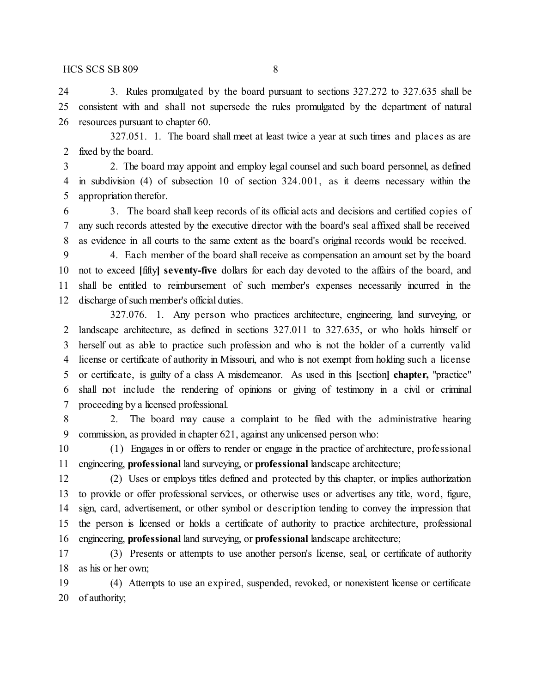3. Rules promulgated by the board pursuant to sections 327.272 to 327.635 shall be consistent with and shall not supersede the rules promulgated by the department of natural resources pursuant to chapter 60.

327.051. 1. The board shall meet at least twice a year at such times and places as are fixed by the board.

 2. The board may appoint and employ legal counsel and such board personnel, as defined in subdivision (4) of subsection 10 of section 324.001, as it deems necessary within the appropriation therefor.

 3. The board shall keep records of its official acts and decisions and certified copies of any such records attested by the executive director with the board's seal affixed shall be received as evidence in all courts to the same extent as the board's original records would be received.

 4. Each member of the board shall receive as compensation an amount set by the board not to exceed **[**fifty**] seventy-five** dollars for each day devoted to the affairs of the board, and shall be entitled to reimbursement of such member's expenses necessarily incurred in the discharge of such member's official duties.

327.076. 1. Any person who practices architecture, engineering, land surveying, or landscape architecture, as defined in sections 327.011 to 327.635, or who holds himself or herself out as able to practice such profession and who is not the holder of a currently valid license or certificate of authority in Missouri, and who is not exempt from holding such a license or certificate, is guilty of a class A misdemeanor. As used in this **[**section**] chapter,** "practice" shall not include the rendering of opinions or giving of testimony in a civil or criminal proceeding by a licensed professional.

 2. The board may cause a complaint to be filed with the administrative hearing commission, as provided in chapter 621, against any unlicensed person who:

 (1) Engages in or offers to render or engage in the practice of architecture, professional engineering, **professional** land surveying, or **professional** landscape architecture;

 (2) Uses or employs titles defined and protected by this chapter, or implies authorization to provide or offer professional services, or otherwise uses or advertises any title, word, figure, sign, card, advertisement, or other symbol or description tending to convey the impression that the person is licensed or holds a certificate of authority to practice architecture, professional engineering, **professional** land surveying, or **professional** landscape architecture;

 (3) Presents or attempts to use another person's license, seal, or certificate of authority as his or her own;

 (4) Attempts to use an expired, suspended, revoked, or nonexistent license or certificate of authority;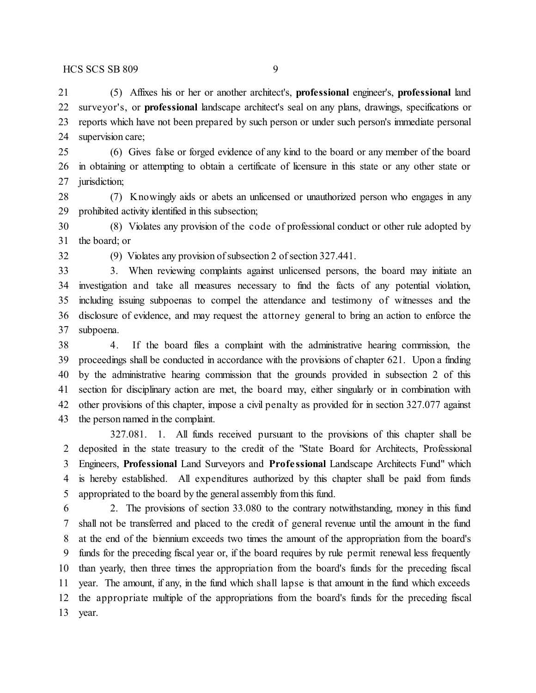(5) Affixes his or her or another architect's, **professional** engineer's, **professional** land surveyor's, or **professional** landscape architect's seal on any plans, drawings, specifications or reports which have not been prepared by such person or under such person's immediate personal supervision care;

 (6) Gives false or forged evidence of any kind to the board or any member of the board in obtaining or attempting to obtain a certificate of licensure in this state or any other state or jurisdiction;

 (7) Knowingly aids or abets an unlicensed or unauthorized person who engages in any prohibited activity identified in this subsection;

 (8) Violates any provision of the code of professional conduct or other rule adopted by the board; or

(9) Violates any provision of subsection 2 of section 327.441.

 3. When reviewing complaints against unlicensed persons, the board may initiate an investigation and take all measures necessary to find the facts of any potential violation, including issuing subpoenas to compel the attendance and testimony of witnesses and the disclosure of evidence, and may request the attorney general to bring an action to enforce the subpoena.

 4. If the board files a complaint with the administrative hearing commission, the proceedings shall be conducted in accordance with the provisions of chapter 621. Upon a finding by the administrative hearing commission that the grounds provided in subsection 2 of this section for disciplinary action are met, the board may, either singularly or in combination with other provisions of this chapter, impose a civil penalty as provided for in section 327.077 against the person named in the complaint.

327.081. 1. All funds received pursuant to the provisions of this chapter shall be deposited in the state treasury to the credit of the "State Board for Architects, Professional Engineers, **Professional** Land Surveyors and **Profe ssional** Landscape Architects Fund" which is hereby established. All expenditures authorized by this chapter shall be paid from funds appropriated to the board by the general assembly from this fund.

 2. The provisions of section 33.080 to the contrary notwithstanding, money in this fund shall not be transferred and placed to the credit of general revenue until the amount in the fund at the end of the biennium exceeds two times the amount of the appropriation from the board's funds for the preceding fiscal year or, if the board requires by rule permit renewal less frequently than yearly, then three times the appropriation from the board's funds for the preceding fiscal year. The amount, if any, in the fund which shall lapse is that amount in the fund which exceeds the appropriate multiple of the appropriations from the board's funds for the preceding fiscal year.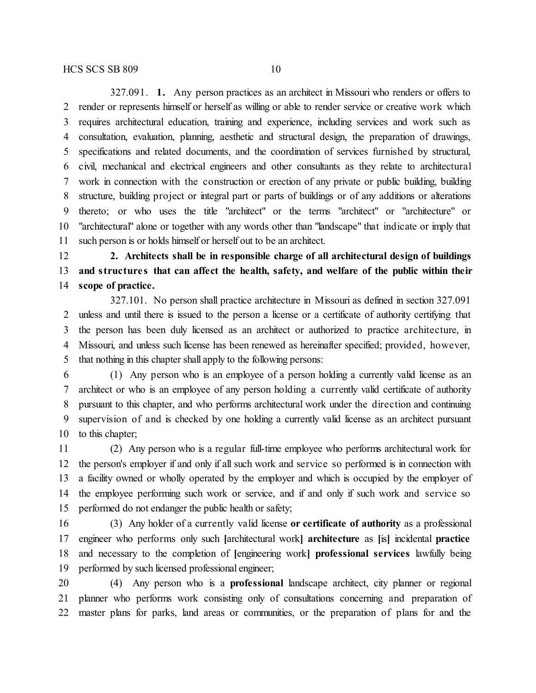327.091. **1.** Any person practices as an architect in Missouri who renders or offers to render or represents himself or herself as willing or able to render service or creative work which requires architectural education, training and experience, including services and work such as consultation, evaluation, planning, aesthetic and structural design, the preparation of drawings, specifications and related documents, and the coordination of services furnished by structural, civil, mechanical and electrical engineers and other consultants as they relate to architectural work in connection with the construction or erection of any private or public building, building structure, building project or integral part or parts of buildings or of any additions or alterations thereto; or who uses the title "architect" or the terms "architect" or "architecture" or "architectural" alone or together with any words other than "landscape" that indicate or imply that such person is or holds himself or herself out to be an architect.

 **2. Architects shall be in responsible charge of all architectural design of buildings and structure s that can affect the health, safety, and welfare of the public within their scope of practice.**

327.101. No person shall practice architecture in Missouri as defined in section 327.091 unless and until there is issued to the person a license or a certificate of authority certifying that the person has been duly licensed as an architect or authorized to practice architecture, in Missouri, and unless such license has been renewed as hereinafter specified; provided, however, that nothing in this chapter shall apply to the following persons:

 (1) Any person who is an employee of a person holding a currently valid license as an architect or who is an employee of any person holding a currently valid certificate of authority pursuant to this chapter, and who performs architectural work under the direction and continuing supervision of and is checked by one holding a currently valid license as an architect pursuant 10 to this chapter;

 (2) Any person who is a regular full-time employee who performs architectural work for the person's employer if and only if all such work and service so performed is in connection with a facility owned or wholly operated by the employer and which is occupied by the employer of the employee performing such work or service, and if and only if such work and service so performed do not endanger the public health or safety;

 (3) Any holder of a currently valid license **or certificate of authority** as a professional engineer who performs only such **[**architectural work**] architecture** as **[**is**]** incidental **practice** and necessary to the completion of **[**engineering work**] professional services** lawfully being performed by such licensed professional engineer;

 (4) Any person who is a **professional** landscape architect, city planner or regional planner who performs work consisting only of consultations concerning and preparation of master plans for parks, land areas or communities, or the preparation of plans for and the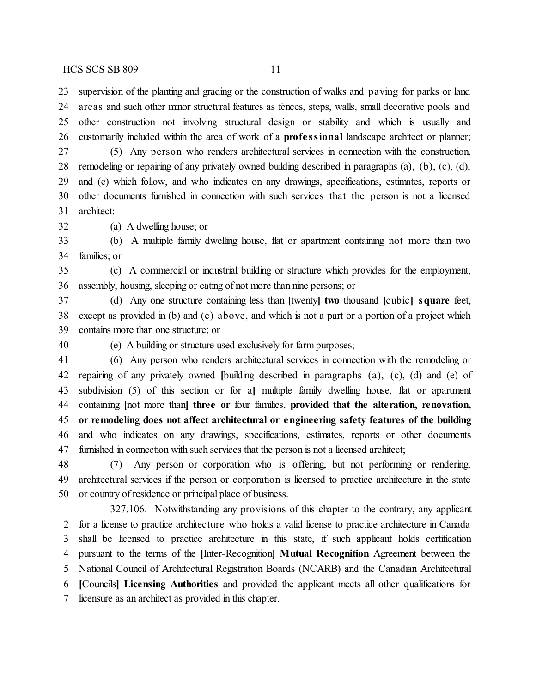HCS SCS SB 809 11

 supervision of the planting and grading or the construction of walks and paving for parks or land areas and such other minor structural features as fences, steps, walls, small decorative pools and other construction not involving structural design or stability and which is usually and customarily included within the area of work of a **profe ssional** landscape architect or planner; (5) Any person who renders architectural services in connection with the construction, remodeling or repairing of any privately owned building described in paragraphs (a), (b), (c), (d), and (e) which follow, and who indicates on any drawings, specifications, estimates, reports or other documents furnished in connection with such services that the person is not a licensed

architect:

(a) A dwelling house; or

 (b) A multiple family dwelling house, flat or apartment containing not more than two families; or

 (c) A commercial or industrial building or structure which provides for the employment, assembly, housing, sleeping or eating of not more than nine persons; or

 (d) Any one structure containing less than **[**twenty**] two** thousand **[**cubic**] square** feet, except as provided in (b) and (c) above, and which is not a part or a portion of a project which contains more than one structure; or

(e) A building or structure used exclusively for farm purposes;

 (6) Any person who renders architectural services in connection with the remodeling or repairing of any privately owned **[**building described in paragraphs (a), (c), (d) and (e) of subdivision (5) of this section or for a**]** multiple family dwelling house, flat or apartment containing **[**not more than**] three or** four families, **provided that the alteration, renovation, or remodeling does not affect architectural or engineering safety features of the building** and who indicates on any drawings, specifications, estimates, reports or other documents furnished in connection with such services that the person is not a licensed architect;

 (7) Any person or corporation who is offering, but not performing or rendering, architectural services if the person or corporation is licensed to practice architecture in the state or country of residence or principal place of business.

327.106. Notwithstanding any provisions of this chapter to the contrary, any applicant for a license to practice architecture who holds a valid license to practice architecture in Canada shall be licensed to practice architecture in this state, if such applicant holds certification pursuant to the terms of the **[**Inter-Recognition**] Mutual Recognition** Agreement between the National Council of Architectural Registration Boards (NCARB) and the Canadian Architectural **[**Councils**] Licensing Authorities** and provided the applicant meets all other qualifications for licensure as an architect as provided in this chapter.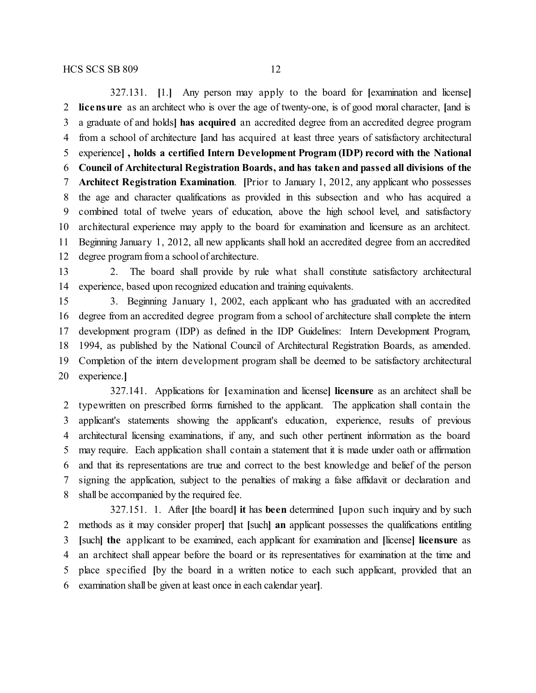327.131. **[**1.**]** Any person may apply to the board for **[**examination and license**] licensure** as an architect who is over the age of twenty-one, is of good moral character, **[**and is a graduate of and holds**] has acquired** an accredited degree from an accredited degree program from a school of architecture **[**and has acquired at least three years of satisfactory architectural experience**] , holds a certified Intern Development Program (IDP) record with the National Council of Architectural Registration Boards, and has taken and passed all divisions of the Architect Registration Examination**. **[**Prior to January 1, 2012, any applicant who possesses the age and character qualifications as provided in this subsection and who has acquired a combined total of twelve years of education, above the high school level, and satisfactory architectural experience may apply to the board for examination and licensure as an architect. Beginning January 1, 2012, all new applicants shall hold an accredited degree from an accredited degree program from a school of architecture.

 2. The board shall provide by rule what shall constitute satisfactory architectural experience, based upon recognized education and training equivalents.

 3. Beginning January 1, 2002, each applicant who has graduated with an accredited degree from an accredited degree program from a school of architecture shall complete the intern development program (IDP) as defined in the IDP Guidelines: Intern Development Program, 1994, as published by the National Council of Architectural Registration Boards, as amended. Completion of the intern development program shall be deemed to be satisfactory architectural experience.**]**

327.141. Applications for **[**examination and license**] licensure** as an architect shall be typewritten on prescribed forms furnished to the applicant. The application shall contain the applicant's statements showing the applicant's education, experience, results of previous architectural licensing examinations, if any, and such other pertinent information as the board may require. Each application shall contain a statement that it is made under oath or affirmation and that its representations are true and correct to the best knowledge and belief of the person signing the application, subject to the penalties of making a false affidavit or declaration and shall be accompanied by the required fee.

327.151. 1. After **[**the board**] it** has **been** determined **[**upon such inquiry and by such methods as it may consider proper**]** that **[**such**] an** applicant possesses the qualifications entitling **[**such**] the** applicant to be examined, each applicant for examination and **[**license**] licensure** as an architect shall appear before the board or its representatives for examination at the time and place specified **[**by the board in a written notice to each such applicant, provided that an examination shall be given at least once in each calendar year**]**.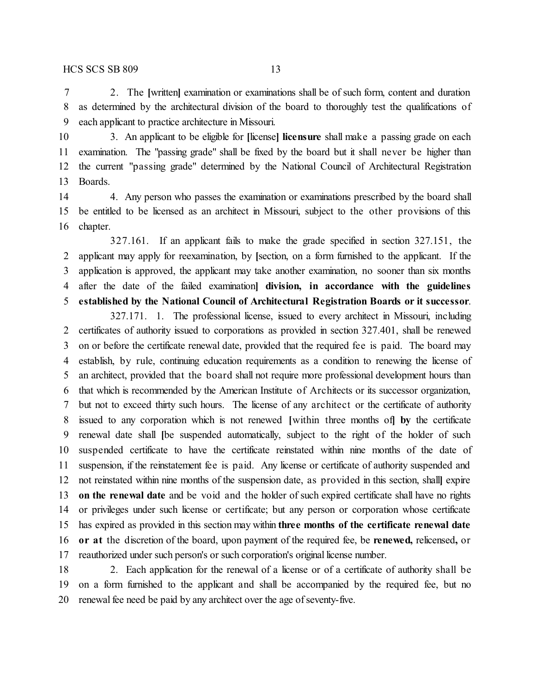2. The **[**written**]** examination or examinations shall be of such form, content and duration as determined by the architectural division of the board to thoroughly test the qualifications of each applicant to practice architecture in Missouri.

 3. An applicant to be eligible for **[**license**] licensure** shall make a passing grade on each examination. The "passing grade" shall be fixed by the board but it shall never be higher than the current "passing grade" determined by the National Council of Architectural Registration Boards.

14 4. Any person who passes the examination or examinations prescribed by the board shall be entitled to be licensed as an architect in Missouri, subject to the other provisions of this chapter.

327.161. If an applicant fails to make the grade specified in section 327.151, the applicant may apply for reexamination, by **[**section, on a form furnished to the applicant. If the application is approved, the applicant may take another examination, no sooner than six months after the date of the failed examination**] division, in accordance with the guidelines established by the National Council of Architectural Registration Boards or it successor**.

327.171. 1. The professional license, issued to every architect in Missouri, including certificates of authority issued to corporations as provided in section 327.401, shall be renewed on or before the certificate renewal date, provided that the required fee is paid. The board may establish, by rule, continuing education requirements as a condition to renewing the license of an architect, provided that the board shall not require more professional development hours than that which is recommended by the American Institute of Architects or its successor organization, but not to exceed thirty such hours. The license of any architect or the certificate of authority issued to any corporation which is not renewed **[**within three months of**] by** the certificate renewal date shall **[**be suspended automatically, subject to the right of the holder of such suspended certificate to have the certificate reinstated within nine months of the date of suspension, if the reinstatement fee is paid. Any license or certificate of authority suspended and not reinstated within nine months of the suspension date, as provided in this section, shall**]** expire **on the renewal date** and be void and the holder of such expired certificate shall have no rights or privileges under such license or certificate; but any person or corporation whose certificate has expired as provided in this section may within **three months of the certificate renewal date or at** the discretion of the board, upon payment of the required fee, be **renewed,** relicensed**,** or reauthorized under such person's or such corporation's original license number.

 2. Each application for the renewal of a license or of a certificate of authority shall be on a form furnished to the applicant and shall be accompanied by the required fee, but no renewal fee need be paid by any architect over the age of seventy-five.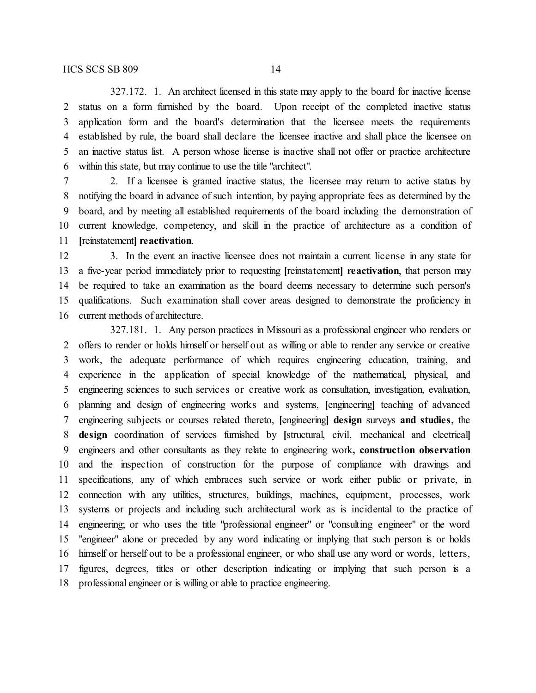327.172. 1. An architect licensed in this state may apply to the board for inactive license status on a form furnished by the board. Upon receipt of the completed inactive status application form and the board's determination that the licensee meets the requirements established by rule, the board shall declare the licensee inactive and shall place the licensee on an inactive status list. A person whose license is inactive shall not offer or practice architecture within this state, but may continue to use the title "architect".

 2. If a licensee is granted inactive status, the licensee may return to active status by notifying the board in advance of such intention, by paying appropriate fees as determined by the board, and by meeting all established requirements of the board including the demonstration of current knowledge, competency, and skill in the practice of architecture as a condition of **[**reinstatement**] reactivation**.

 3. In the event an inactive licensee does not maintain a current license in any state for a five-year period immediately prior to requesting **[**reinstatement**] reactivation**, that person may be required to take an examination as the board deems necessary to determine such person's qualifications. Such examination shall cover areas designed to demonstrate the proficiency in current methods of architecture.

327.181. 1. Any person practices in Missouri as a professional engineer who renders or offers to render or holds himself or herself out as willing or able to render any service or creative work, the adequate performance of which requires engineering education, training, and experience in the application of special knowledge of the mathematical, physical, and engineering sciences to such services or creative work as consultation, investigation, evaluation, planning and design of engineering works and systems, **[**engineering**]** teaching of advanced engineering subjects or courses related thereto, **[**engineering**] design** surveys **and studies**, the **design** coordination of services furnished by **[**structural, civil, mechanical and electrical**]** engineers and other consultants as they relate to engineering work**, construction observation** and the inspection of construction for the purpose of compliance with drawings and specifications, any of which embraces such service or work either public or private, in connection with any utilities, structures, buildings, machines, equipment, processes, work systems or projects and including such architectural work as is incidental to the practice of engineering; or who uses the title "professional engineer" or "consulting engineer" or the word "engineer" alone or preceded by any word indicating or implying that such person is or holds himself or herself out to be a professional engineer, or who shall use any word or words, letters, figures, degrees, titles or other description indicating or implying that such person is a professional engineer or is willing or able to practice engineering.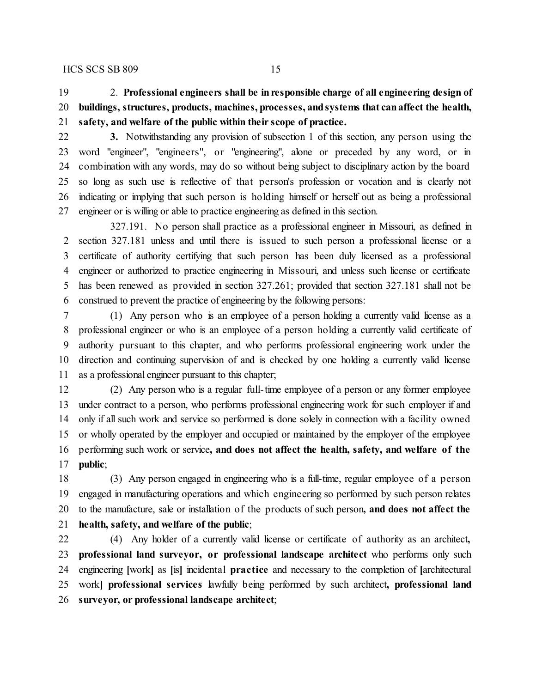## 2. **Professional engineers shall be inresponsible charge of all engineering design of buildings, structures, products, machines, processes, andsystems that canaffect the health, safety, and welfare of the public within their scope of practice.**

**3.** Notwithstanding any provision of subsection 1 of this section, any person using the

 word "engineer", "engineers", or "engineering", alone or preceded by any word, or in combination with any words, may do so without being subject to disciplinary action by the board so long as such use is reflective of that person's profession or vocation and is clearly not indicating or implying that such person is holding himself or herself out as being a professional engineer or is willing or able to practice engineering as defined in this section.

327.191. No person shall practice as a professional engineer in Missouri, as defined in section 327.181 unless and until there is issued to such person a professional license or a certificate of authority certifying that such person has been duly licensed as a professional engineer or authorized to practice engineering in Missouri, and unless such license or certificate has been renewed as provided in section 327.261; provided that section 327.181 shall not be construed to prevent the practice of engineering by the following persons:

 (1) Any person who is an employee of a person holding a currently valid license as a professional engineer or who is an employee of a person holding a currently valid certificate of authority pursuant to this chapter, and who performs professional engineering work under the direction and continuing supervision of and is checked by one holding a currently valid license as a professional engineer pursuant to this chapter;

 (2) Any person who is a regular full-time employee of a person or any former employee under contract to a person, who performs professional engineering work for such employer if and only if all such work and service so performed is done solely in connection with a facility owned or wholly operated by the employer and occupied or maintained by the employer of the employee performing such work or service**, and does not affect the health, safety, and welfare of the public**;

 (3) Any person engaged in engineering who is a full-time, regular employee of a person engaged in manufacturing operations and which engineering so performed by such person relates to the manufacture, sale or installation of the products of such person**, and does not affect the health, safety, and welfare of the public**;

 (4) Any holder of a currently valid license or certificate of authority as an architect**, professional land surveyor, or professional landscape architect** who performs only such engineering **[**work**]** as **[**is**]** incidental **practice** and necessary to the completion of **[**architectural work**] professional services** lawfully being performed by such architect**, professional land surveyor, or professional landscape architect**;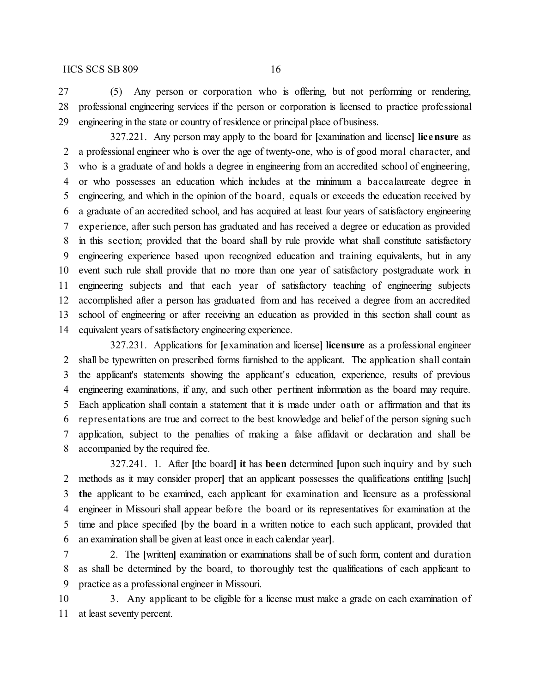### HCS SCS SB 809 16

 (5) Any person or corporation who is offering, but not performing or rendering, professional engineering services if the person or corporation is licensed to practice professional engineering in the state or country of residence or principal place of business.

327.221. Any person may apply to the board for **[**examination and license**] licensure** as a professional engineer who is over the age of twenty-one, who is of good moral character, and who is a graduate of and holds a degree in engineering from an accredited school of engineering, or who possesses an education which includes at the minimum a baccalaureate degree in engineering, and which in the opinion of the board, equals or exceeds the education received by a graduate of an accredited school, and has acquired at least four years of satisfactory engineering experience, after such person has graduated and has received a degree or education as provided in this section; provided that the board shall by rule provide what shall constitute satisfactory engineering experience based upon recognized education and training equivalents, but in any event such rule shall provide that no more than one year of satisfactory postgraduate work in engineering subjects and that each year of satisfactory teaching of engineering subjects accomplished after a person has graduated from and has received a degree from an accredited school of engineering or after receiving an education as provided in this section shall count as equivalent years of satisfactory engineering experience.

327.231. Applications for **[**examination and license**] licensure** as a professional engineer shall be typewritten on prescribed forms furnished to the applicant. The application shall contain the applicant's statements showing the applicant's education, experience, results of previous engineering examinations, if any, and such other pertinent information as the board may require. Each application shall contain a statement that it is made under oath or affirmation and that its representations are true and correct to the best knowledge and belief of the person signing such application, subject to the penalties of making a false affidavit or declaration and shall be accompanied by the required fee.

327.241. 1. After **[**the board**] it** has **been** determined **[**upon such inquiry and by such methods as it may consider proper**]** that an applicant possesses the qualifications entitling **[**such**] the** applicant to be examined, each applicant for examination and licensure as a professional engineer in Missouri shall appear before the board or its representatives for examination at the time and place specified **[**by the board in a written notice to each such applicant, provided that an examination shall be given at least once in each calendar year**]**.

 2. The **[**written**]** examination or examinations shall be of such form, content and duration as shall be determined by the board, to thoroughly test the qualifications of each applicant to practice as a professional engineer in Missouri.

 3. Any applicant to be eligible for a license must make a grade on each examination of at least seventy percent.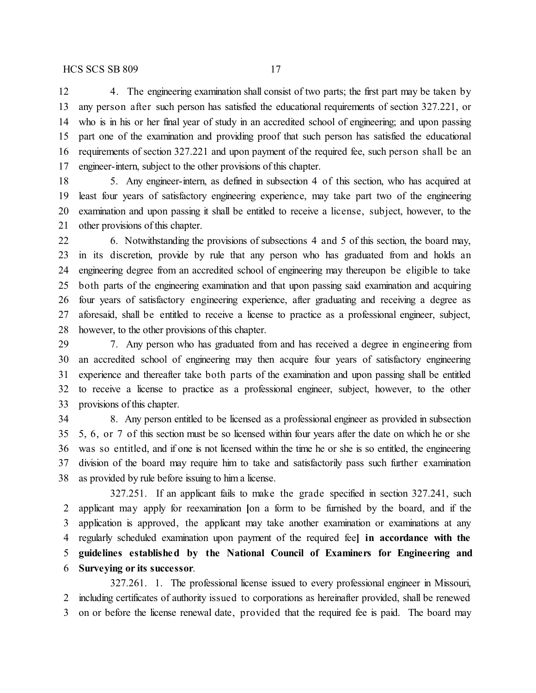4. The engineering examination shall consist of two parts; the first part may be taken by any person after such person has satisfied the educational requirements of section 327.221, or who is in his or her final year of study in an accredited school of engineering; and upon passing part one of the examination and providing proof that such person has satisfied the educational requirements of section 327.221 and upon payment of the required fee, such person shall be an engineer-intern, subject to the other provisions of this chapter.

 5. Any engineer-intern, as defined in subsection 4 of this section, who has acquired at least four years of satisfactory engineering experience, may take part two of the engineering examination and upon passing it shall be entitled to receive a license, subject, however, to the other provisions of this chapter.

 6. Notwithstanding the provisions of subsections 4 and 5 of this section, the board may, in its discretion, provide by rule that any person who has graduated from and holds an engineering degree from an accredited school of engineering may thereupon be eligible to take both parts of the engineering examination and that upon passing said examination and acquiring four years of satisfactory engineering experience, after graduating and receiving a degree as aforesaid, shall be entitled to receive a license to practice as a professional engineer, subject, however, to the other provisions of this chapter.

 7. Any person who has graduated from and has received a degree in engineering from an accredited school of engineering may then acquire four years of satisfactory engineering experience and thereafter take both parts of the examination and upon passing shall be entitled to receive a license to practice as a professional engineer, subject, however, to the other provisions of this chapter.

 8. Any person entitled to be licensed as a professional engineer as provided in subsection 5, 6, or 7 of this section must be so licensed within four years after the date on which he or she was so entitled, and if one is not licensed within the time he or she is so entitled, the engineering division of the board may require him to take and satisfactorily pass such further examination as provided by rule before issuing to him a license.

327.251. If an applicant fails to make the grade specified in section 327.241, such applicant may apply for reexamination **[**on a form to be furnished by the board, and if the application is approved, the applicant may take another examination or examinations at any regularly scheduled examination upon payment of the required fee**] in accordance with the guidelines established by the National Council of Examiners for Engineering and Surveying or its successor**.

327.261. 1. The professional license issued to every professional engineer in Missouri, including certificates of authority issued to corporations as hereinafter provided, shall be renewed on or before the license renewal date, provided that the required fee is paid. The board may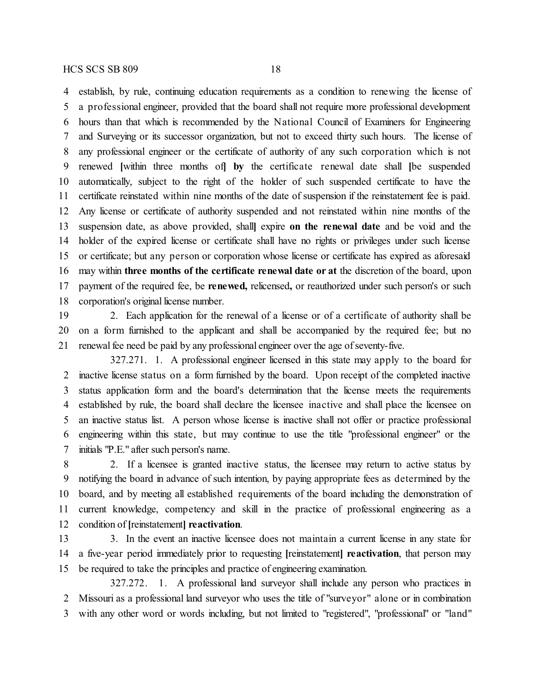establish, by rule, continuing education requirements as a condition to renewing the license of a professional engineer, provided that the board shall not require more professional development hours than that which is recommended by the National Council of Examiners for Engineering and Surveying or its successor organization, but not to exceed thirty such hours. The license of any professional engineer or the certificate of authority of any such corporation which is not renewed **[**within three months of**] by** the certificate renewal date shall **[**be suspended automatically, subject to the right of the holder of such suspended certificate to have the certificate reinstated within nine months of the date of suspension if the reinstatement fee is paid. Any license or certificate of authority suspended and not reinstated within nine months of the suspension date, as above provided, shall**]** expire **on the renewal date** and be void and the holder of the expired license or certificate shall have no rights or privileges under such license or certificate; but any person or corporation whose license or certificate has expired as aforesaid may within **three months of the certificate renewal date or at** the discretion of the board, upon payment of the required fee, be **renewed,** relicensed**,** or reauthorized under such person's or such corporation's original license number.

 2. Each application for the renewal of a license or of a certificate of authority shall be on a form furnished to the applicant and shall be accompanied by the required fee; but no renewal fee need be paid by any professional engineer over the age of seventy-five.

327.271. 1. A professional engineer licensed in this state may apply to the board for inactive license status on a form furnished by the board. Upon receipt of the completed inactive status application form and the board's determination that the license meets the requirements established by rule, the board shall declare the licensee inactive and shall place the licensee on an inactive status list. A person whose license is inactive shall not offer or practice professional engineering within this state, but may continue to use the title "professional engineer" or the initials "P.E." after such person's name.

 2. If a licensee is granted inactive status, the licensee may return to active status by notifying the board in advance of such intention, by paying appropriate fees as determined by the board, and by meeting all established requirements of the board including the demonstration of current knowledge, competency and skill in the practice of professional engineering as a condition of **[**reinstatement**] reactivation**.

 3. In the event an inactive licensee does not maintain a current license in any state for a five-year period immediately prior to requesting **[**reinstatement**] reactivation**, that person may be required to take the principles and practice of engineering examination.

327.272. 1. A professional land surveyor shall include any person who practices in Missouri as a professional land surveyor who uses the title of "surveyor" alone or in combination with any other word or words including, but not limited to "registered", "professional" or "land"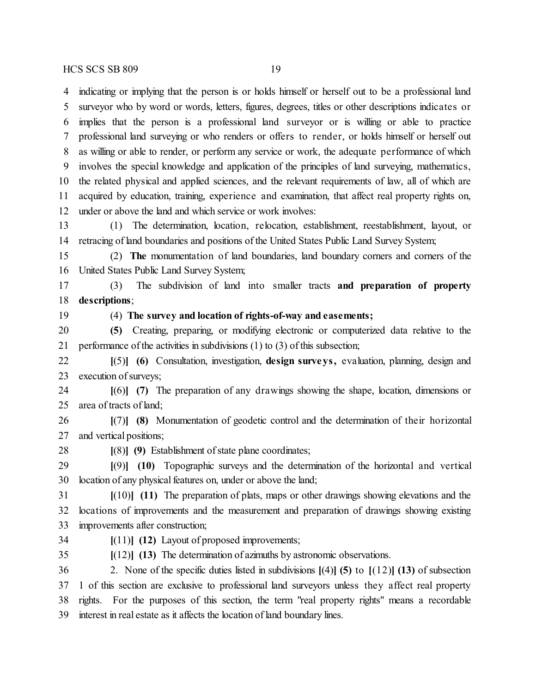indicating or implying that the person is or holds himself or herself out to be a professional land surveyor who by word or words, letters, figures, degrees, titles or other descriptions indicates or implies that the person is a professional land surveyor or is willing or able to practice professional land surveying or who renders or offers to render, or holds himself or herself out as willing or able to render, or perform any service or work, the adequate performance of which involves the special knowledge and application of the principles of land surveying, mathematics, the related physical and applied sciences, and the relevant requirements of law, all of which are acquired by education, training, experience and examination, that affect real property rights on, under or above the land and which service or work involves:

 (1) The determination, location, relocation, establishment, reestablishment, layout, or retracing of land boundaries and positions of the United States Public Land Survey System;

 (2) **The** monumentation of land boundaries, land boundary corners and corners of the United States Public Land Survey System;

 (3) The subdivision of land into smaller tracts **and preparation of property descriptions**;

(4) **The survey and location of rights-of-way and easements;**

 **(5)** Creating, preparing, or modifying electronic or computerized data relative to the performance of the activities in subdivisions (1) to (3) of this subsection;

 **[**(5)**] (6)** Consultation, investigation, **design surveys,** evaluation, planning, design and execution of surveys;

 **[**(6)**] (7)** The preparation of any drawings showing the shape, location, dimensions or area of tracts of land;

 **[**(7)**] (8)** Monumentation of geodetic control and the determination of their horizontal and vertical positions;

**[**(8)**] (9)** Establishment ofstate plane coordinates;

 **[**(9)**] (10)** Topographic surveys and the determination of the horizontal and vertical location of any physical features on, under or above the land;

 **[**(10)**] (11)** The preparation of plats, maps or other drawings showing elevations and the locations of improvements and the measurement and preparation of drawings showing existing improvements after construction;

- **[**(11)**] (12)** Layout of proposed improvements;
- 

**[**(12)**] (13)** The determination of azimuths by astronomic observations.

 2. None of the specific duties listed in subdivisions **[**(4)**] (5)** to **[**(12)**] (13)** of subsection 1 of this section are exclusive to professional land surveyors unless they affect real property rights. For the purposes of this section, the term "real property rights" means a recordable interest in real estate as it affects the location of land boundary lines.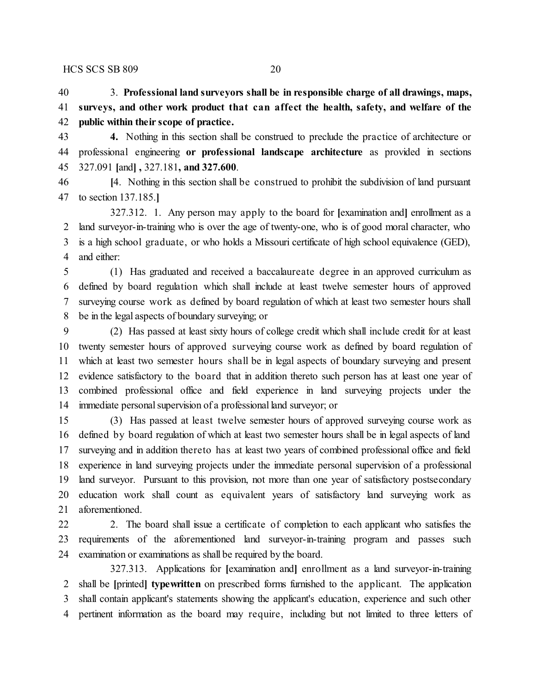3. **Professional land surveyors shall be in responsible charge of all drawings, maps, surveys, and other work product that can affect the health, safety, and welfare of the public within their scope of practice.**

 **4.** Nothing in this section shall be construed to preclude the practice of architecture or professional engineering **or professional landscape architecture** as provided in sections 327.091 **[**and**] ,** 327.181**, and 327.600**.

 **[**4. Nothing in this section shall be construed to prohibit the subdivision of land pursuant to section 137.185.**]**

327.312. 1. Any person may apply to the board for **[**examination and**]** enrollment as a land surveyor-in-training who is over the age of twenty-one, who is of good moral character, who is a high school graduate, or who holds a Missouri certificate of high school equivalence (GED), and either:

 (1) Has graduated and received a baccalaureate degree in an approved curriculum as defined by board regulation which shall include at least twelve semester hours of approved surveying course work as defined by board regulation of which at least two semester hours shall be in the legal aspects of boundary surveying; or

 (2) Has passed at least sixty hours of college credit which shall include credit for at least twenty semester hours of approved surveying course work as defined by board regulation of which at least two semester hours shall be in legal aspects of boundary surveying and present evidence satisfactory to the board that in addition thereto such person has at least one year of combined professional office and field experience in land surveying projects under the immediate personal supervision of a professional land surveyor; or

 (3) Has passed at least twelve semester hours of approved surveying course work as defined by board regulation of which at least two semester hours shall be in legal aspects of land surveying and in addition thereto has at least two years of combined professional office and field experience in land surveying projects under the immediate personal supervision of a professional land surveyor. Pursuant to this provision, not more than one year of satisfactory postsecondary education work shall count as equivalent years of satisfactory land surveying work as aforementioned.

22 2. The board shall issue a certificate of completion to each applicant who satisfies the requirements of the aforementioned land surveyor-in-training program and passes such examination or examinations as shall be required by the board.

327.313. Applications for **[**examination and**]** enrollment as a land surveyor-in-training shall be **[**printed**] typewritten** on prescribed forms furnished to the applicant. The application shall contain applicant's statements showing the applicant's education, experience and such other pertinent information as the board may require, including but not limited to three letters of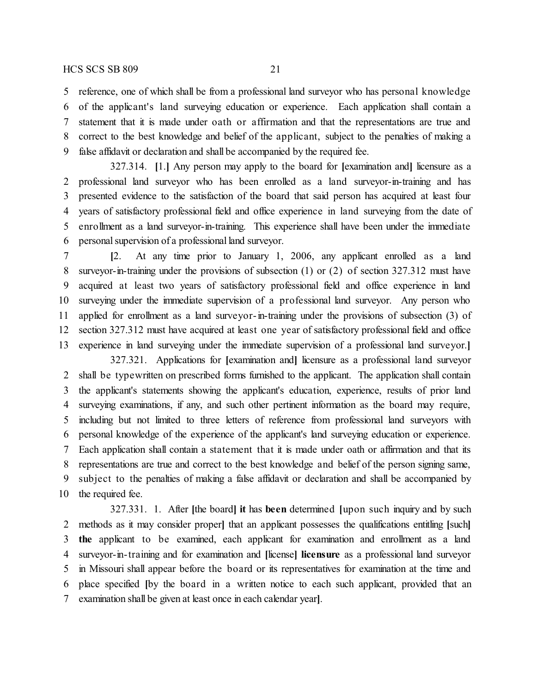#### HCS SCS SB 809 21

 reference, one of which shall be from a professional land surveyor who has personal knowledge of the applicant's land surveying education or experience. Each application shall contain a statement that it is made under oath or affirmation and that the representations are true and correct to the best knowledge and belief of the applicant, subject to the penalties of making a false affidavit or declaration and shall be accompanied by the required fee.

327.314. **[**1.**]** Any person may apply to the board for **[**examination and**]** licensure as a professional land surveyor who has been enrolled as a land surveyor-in-training and has presented evidence to the satisfaction of the board that said person has acquired at least four years of satisfactory professional field and office experience in land surveying from the date of enrollment as a land surveyor-in-training. This experience shall have been under the immediate personal supervision of a professional land surveyor.

 **[**2. At any time prior to January 1, 2006, any applicant enrolled as a land surveyor-in-training under the provisions of subsection (1) or (2) of section 327.312 must have acquired at least two years of satisfactory professional field and office experience in land surveying under the immediate supervision of a professional land surveyor. Any person who applied for enrollment as a land surveyor-in-training under the provisions of subsection (3) of section 327.312 must have acquired at least one year of satisfactory professional field and office experience in land surveying under the immediate supervision of a professional land surveyor.**]**

327.321. Applications for **[**examination and**]** licensure as a professional land surveyor shall be typewritten on prescribed forms furnished to the applicant. The application shall contain the applicant's statements showing the applicant's education, experience, results of prior land surveying examinations, if any, and such other pertinent information as the board may require, including but not limited to three letters of reference from professional land surveyors with personal knowledge of the experience of the applicant's land surveying education or experience. Each application shall contain a statement that it is made under oath or affirmation and that its representations are true and correct to the best knowledge and belief of the person signing same, subject to the penalties of making a false affidavit or declaration and shall be accompanied by the required fee.

327.331. 1. After **[**the board**] it** has **been** determined **[**upon such inquiry and by such methods as it may consider proper**]** that an applicant possesses the qualifications entitling **[**such**] the** applicant to be examined, each applicant for examination and enrollment as a land surveyor-in-training and for examination and **[**license**] licensure** as a professional land surveyor in Missouri shall appear before the board or its representatives for examination at the time and place specified **[**by the board in a written notice to each such applicant, provided that an examination shall be given at least once in each calendar year**]**.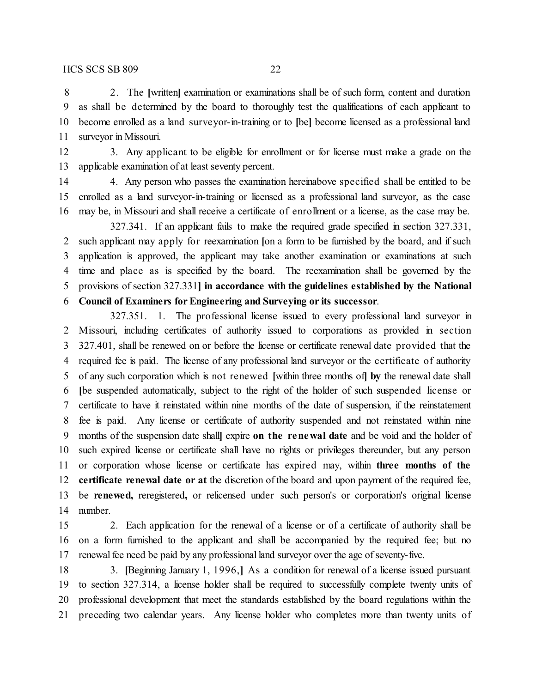2. The **[**written**]** examination or examinations shall be of such form, content and duration as shall be determined by the board to thoroughly test the qualifications of each applicant to become enrolled as a land surveyor-in-training or to **[**be**]** become licensed as a professional land surveyor in Missouri.

 3. Any applicant to be eligible for enrollment or for license must make a grade on the applicable examination of at least seventy percent.

 4. Any person who passes the examination hereinabove specified shall be entitled to be enrolled as a land surveyor-in-training or licensed as a professional land surveyor, as the case may be, in Missouri and shall receive a certificate of enrollment or a license, as the case may be.

327.341. If an applicant fails to make the required grade specified in section 327.331, such applicant may apply for reexamination **[**on a form to be furnished by the board, and if such application is approved, the applicant may take another examination or examinations at such time and place as is specified by the board. The reexamination shall be governed by the provisions of section 327.331**] in accordance with the guidelines established by the National Council of Examiners for Engineering and Surveying or its successor**.

327.351. 1. The professional license issued to every professional land surveyor in Missouri, including certificates of authority issued to corporations as provided in section 327.401, shall be renewed on or before the license or certificate renewal date provided that the required fee is paid. The license of any professional land surveyor or the certificate of authority of any such corporation which is not renewed **[**within three months of**] by** the renewal date shall **[**be suspended automatically, subject to the right of the holder of such suspended license or certificate to have it reinstated within nine months of the date of suspension, if the reinstatement fee is paid. Any license or certificate of authority suspended and not reinstated within nine months of the suspension date shall**]** expire **on the renewal date** and be void and the holder of such expired license or certificate shall have no rights or privileges thereunder, but any person or corporation whose license or certificate has expired may, within **three months of the certificate renewal date or at** the discretion of the board and upon payment of the required fee, be **renewed,** reregistered**,** or relicensed under such person's or corporation's original license number.

 2. Each application for the renewal of a license or of a certificate of authority shall be on a form furnished to the applicant and shall be accompanied by the required fee; but no renewal fee need be paid by any professional land surveyor over the age of seventy-five.

 3. **[**Beginning January 1, 1996,**]** As a condition for renewal of a license issued pursuant to section 327.314, a license holder shall be required to successfully complete twenty units of professional development that meet the standards established by the board regulations within the preceding two calendar years. Any license holder who completes more than twenty units of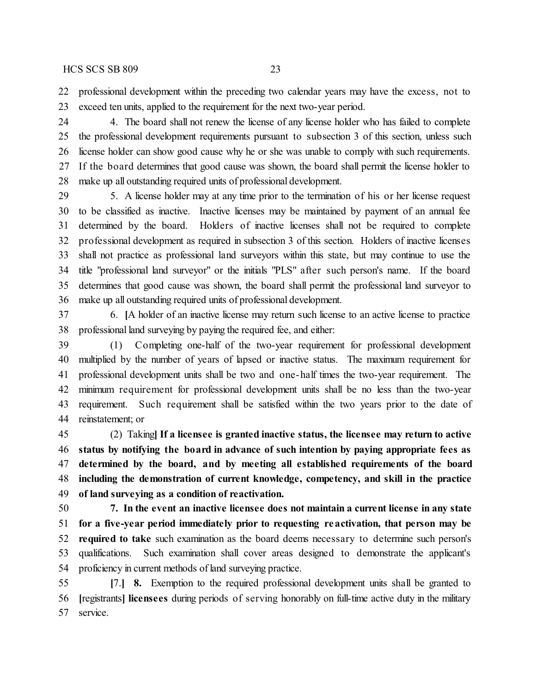professional development within the preceding two calendar years may have the excess, not to exceed ten units, applied to the requirement for the next two-year period.

 4. The board shall not renew the license of any license holder who has failed to complete the professional development requirements pursuant to subsection 3 of this section, unless such license holder can show good cause why he or she was unable to comply with such requirements. If the board determines that good cause was shown, the board shall permit the license holder to make up all outstanding required units of professional development.

 5. A license holder may at any time prior to the termination of his or her license request to be classified as inactive. Inactive licenses may be maintained by payment of an annual fee determined by the board. Holders of inactive licenses shall not be required to complete professional development as required in subsection 3 of this section. Holders of inactive licenses shall not practice as professional land surveyors within this state, but may continue to use the title "professional land surveyor" or the initials "PLS" after such person's name. If the board determines that good cause was shown, the board shall permit the professional land surveyor to make up all outstanding required units of professional development.

 6. **[**A holder of an inactive license may return such license to an active license to practice professional land surveying by paying the required fee, and either:

 (1) Completing one-half of the two-year requirement for professional development multiplied by the number of years of lapsed or inactive status. The maximum requirement for professional development units shall be two and one-half times the two-year requirement. The minimum requirement for professional development units shall be no less than the two-year requirement. Such requirement shall be satisfied within the two years prior to the date of reinstatement; or

 (2) Taking**] If a licensee is granted inactive status, the licensee may return to active status by notifying the board in advance of such intention by paying appropriate fees as determined by the board, and by meeting all established requirements of the board including the demonstration of current knowledge, competency, and skill in the practice of land surveying as a condition of reactivation.**

 **7. In the event an inactive licensee does not maintain a current license in any state for a five-year period immediately prior to requesting reactivation, that person may be required to take** such examination as the board deems necessary to determine such person's qualifications. Such examination shall cover areas designed to demonstrate the applicant's 54 proficiency in current methods of land surveying practice.

 **[**7.**] 8.** Exemption to the required professional development units shall be granted to **[**registrants**] licensees** during periods of serving honorably on full-time active duty in the military service.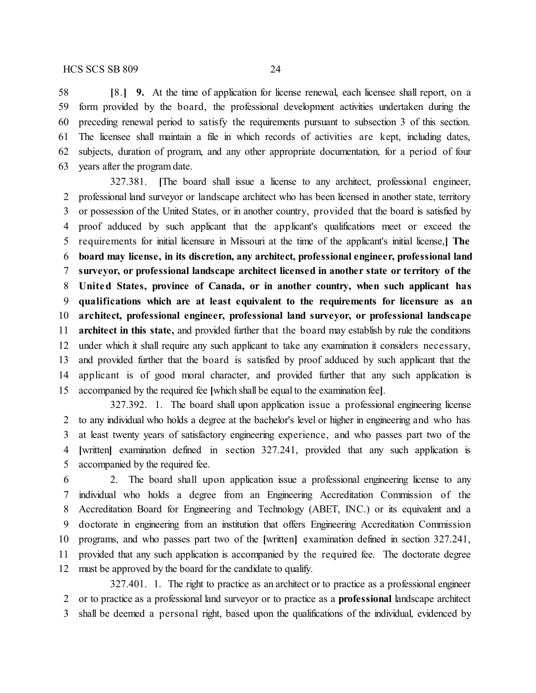**[**8.**] 9.** At the time of application for license renewal, each licensee shall report, on a form provided by the board, the professional development activities undertaken during the preceding renewal period to satisfy the requirements pursuant to subsection 3 of this section. The licensee shall maintain a file in which records of activities are kept, including dates, subjects, duration of program, and any other appropriate documentation, for a period of four years after the program date.

327.381. **[**The board shall issue a license to any architect, professional engineer, professional land surveyor or landscape architect who has been licensed in another state, territory or possession of the United States, or in another country, provided that the board is satisfied by proof adduced by such applicant that the applicant's qualifications meet or exceed the requirements for initial licensure in Missouri at the time of the applicant's initial license,**] The board may license, in its discretion, any architect, professional engineer, professional land surveyor, or professional landscape architect licensed in another state or territory of the United States, province of Canada, or in another country, when such applicant has qualifications which are at least equivalent to the requirements for licensure as an architect, professional engineer, professional land surveyor, or professional landscape architect in this state,** and provided further that the board may establish by rule the conditions under which it shall require any such applicant to take any examination it considers necessary, and provided further that the board is satisfied by proof adduced by such applicant that the applicant is of good moral character, and provided further that any such application is accompanied by the required fee **[**which shall be equal to the examination fee**]**.

327.392. 1. The board shall upon application issue a professional engineering license to any individual who holds a degree at the bachelor's level or higher in engineering and who has at least twenty years of satisfactory engineering experience, and who passes part two of the **[**written**]** examination defined in section 327.241, provided that any such application is accompanied by the required fee.

 2. The board shall upon application issue a professional engineering license to any individual who holds a degree from an Engineering Accreditation Commission of the Accreditation Board for Engineering and Technology (ABET, INC.) or its equivalent and a doctorate in engineering from an institution that offers Engineering Accreditation Commission programs, and who passes part two of the **[**written**]** examination defined in section 327.241, provided that any such application is accompanied by the required fee. The doctorate degree must be approved by the board for the candidate to qualify.

327.401. 1. The right to practice as an architect or to practice as a professional engineer or to practice as a professional land surveyor or to practice as a **professional** landscape architect shall be deemed a personal right, based upon the qualifications of the individual, evidenced by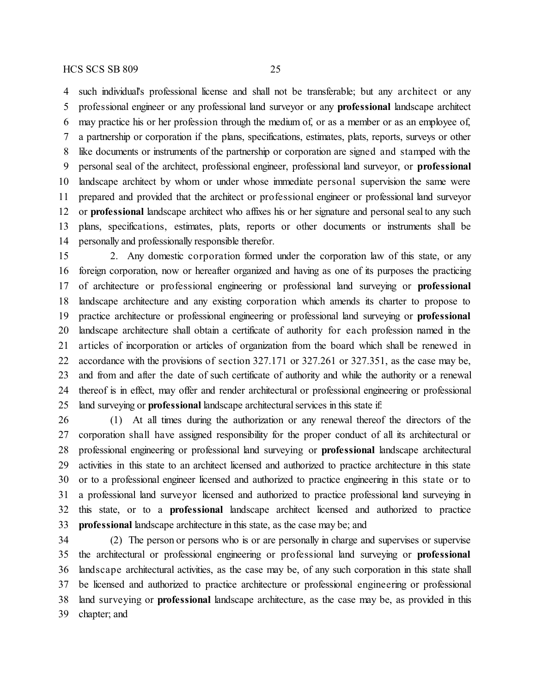such individual's professional license and shall not be transferable; but any architect or any professional engineer or any professional land surveyor or any **professional** landscape architect may practice his or her profession through the medium of, or as a member or as an employee of, a partnership or corporation if the plans, specifications, estimates, plats, reports, surveys or other like documents or instruments of the partnership or corporation are signed and stamped with the personal seal of the architect, professional engineer, professional land surveyor, or **professional** landscape architect by whom or under whose immediate personal supervision the same were prepared and provided that the architect or professional engineer or professional land surveyor or **professional** landscape architect who affixes his or her signature and personal seal to any such plans, specifications, estimates, plats, reports or other documents or instruments shall be personally and professionally responsible therefor.

 2. Any domestic corporation formed under the corporation law of this state, or any foreign corporation, now or hereafter organized and having as one of its purposes the practicing of architecture or professional engineering or professional land surveying or **professional** landscape architecture and any existing corporation which amends its charter to propose to practice architecture or professional engineering or professional land surveying or **professional** landscape architecture shall obtain a certificate of authority for each profession named in the articles of incorporation or articles of organization from the board which shall be renewed in accordance with the provisions of section 327.171 or 327.261 or 327.351, as the case may be, and from and after the date of such certificate of authority and while the authority or a renewal thereof is in effect, may offer and render architectural or professional engineering or professional land surveying or **professional** landscape architectural services in this state if:

 (1) At all times during the authorization or any renewal thereof the directors of the corporation shall have assigned responsibility for the proper conduct of all its architectural or professional engineering or professional land surveying or **professional** landscape architectural activities in this state to an architect licensed and authorized to practice architecture in this state or to a professional engineer licensed and authorized to practice engineering in this state or to a professional land surveyor licensed and authorized to practice professional land surveying in this state, or to a **professional** landscape architect licensed and authorized to practice **professional** landscape architecture in this state, as the case may be; and

 (2) The person or persons who is or are personally in charge and supervises or supervise the architectural or professional engineering or professional land surveying or **professional** landscape architectural activities, as the case may be, of any such corporation in this state shall be licensed and authorized to practice architecture or professional engineering or professional land surveying or **professional** landscape architecture, as the case may be, as provided in this chapter; and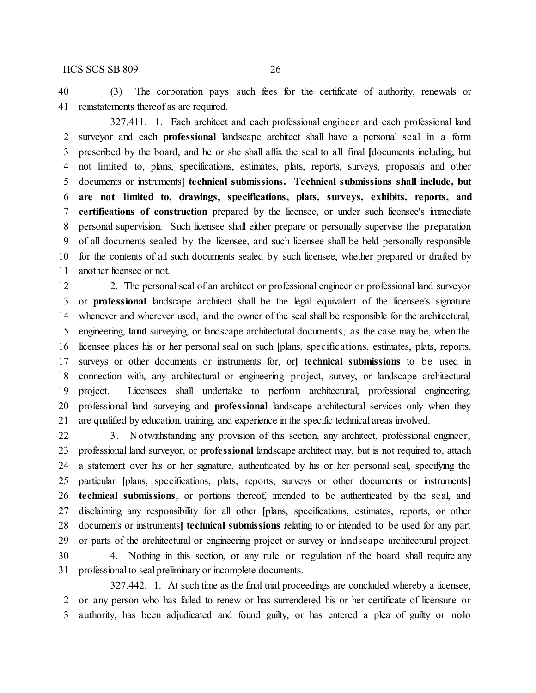### HCS SCS SB 809 26

 (3) The corporation pays such fees for the certificate of authority, renewals or reinstatements thereof as are required.

327.411. 1. Each architect and each professional engineer and each professional land surveyor and each **professional** landscape architect shall have a personal seal in a form prescribed by the board, and he or she shall affix the seal to all final **[**documents including, but not limited to, plans, specifications, estimates, plats, reports, surveys, proposals and other documents or instruments**] technical submissions. Technical submissions shall include, but are not limited to, drawings, specifications, plats, surveys, exhibits, reports, and certifications of construction** prepared by the licensee, or under such licensee's immediate personal supervision. Such licensee shall either prepare or personally supervise the preparation of all documents sealed by the licensee, and such licensee shall be held personally responsible for the contents of all such documents sealed by such licensee, whether prepared or drafted by another licensee or not.

 2. The personal seal of an architect or professional engineer or professional land surveyor or **professional** landscape architect shall be the legal equivalent of the licensee's signature whenever and wherever used, and the owner of the seal shall be responsible for the architectural, engineering, **land** surveying, or landscape architectural documents, as the case may be, when the licensee places his or her personal seal on such **[**plans, specifications, estimates, plats, reports, surveys or other documents or instruments for, or**] technical submissions** to be used in connection with, any architectural or engineering project, survey, or landscape architectural project. Licensees shall undertake to perform architectural, professional engineering, professional land surveying and **professional** landscape architectural services only when they are qualified by education, training, and experience in the specific technical areas involved.

 3. Notwithstanding any provision of this section, any architect, professional engineer, professional land surveyor, or **professional** landscape architect may, but is not required to, attach a statement over his or her signature, authenticated by his or her personal seal, specifying the particular **[**plans, specifications, plats, reports, surveys or other documents or instruments**] technical submissions**, or portions thereof, intended to be authenticated by the seal, and disclaiming any responsibility for all other **[**plans, specifications, estimates, reports, or other documents or instruments**] technical submissions** relating to or intended to be used for any part or parts of the architectural or engineering project or survey or landscape architectural project.

 4. Nothing in this section, or any rule or regulation of the board shall require any professional to seal preliminary or incomplete documents.

327.442. 1. At such time as the final trial proceedings are concluded whereby a licensee, or any person who has failed to renew or has surrendered his or her certificate of licensure or authority, has been adjudicated and found guilty, or has entered a plea of guilty or nolo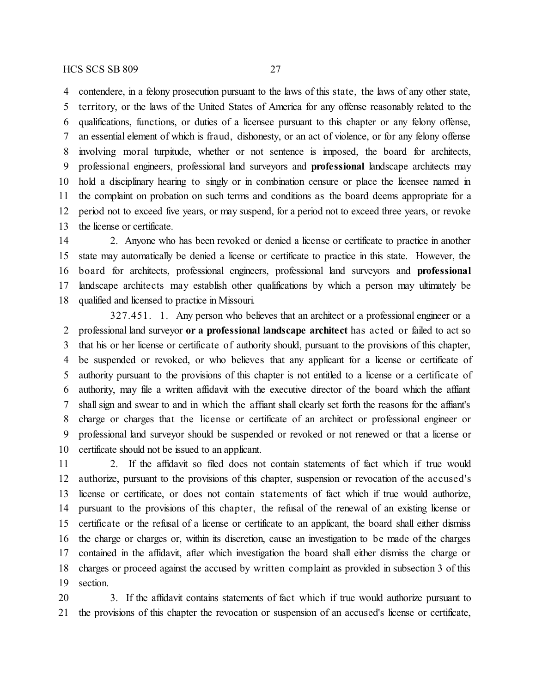contendere, in a felony prosecution pursuant to the laws of this state, the laws of any other state,

 territory, or the laws of the United States of America for any offense reasonably related to the qualifications, functions, or duties of a licensee pursuant to this chapter or any felony offense, an essential element of which is fraud, dishonesty, or an act of violence, or for any felony offense involving moral turpitude, whether or not sentence is imposed, the board for architects, professional engineers, professional land surveyors and **professional** landscape architects may hold a disciplinary hearing to singly or in combination censure or place the licensee named in the complaint on probation on such terms and conditions as the board deems appropriate for a period not to exceed five years, or may suspend, for a period not to exceed three years, or revoke the license or certificate.

 2. Anyone who has been revoked or denied a license or certificate to practice in another state may automatically be denied a license or certificate to practice in this state. However, the board for architects, professional engineers, professional land surveyors and **professional** landscape architects may establish other qualifications by which a person may ultimately be qualified and licensed to practice in Missouri.

327.451. 1. Any person who believes that an architect or a professional engineer or a professional land surveyor **or a professional landscape architect** has acted or failed to act so that his or her license or certificate of authority should, pursuant to the provisions of this chapter, be suspended or revoked, or who believes that any applicant for a license or certificate of authority pursuant to the provisions of this chapter is not entitled to a license or a certificate of authority, may file a written affidavit with the executive director of the board which the affiant shall sign and swear to and in which the affiant shall clearly set forth the reasons for the affiant's charge or charges that the license or certificate of an architect or professional engineer or professional land surveyor should be suspended or revoked or not renewed or that a license or certificate should not be issued to an applicant.

 2. If the affidavit so filed does not contain statements of fact which if true would authorize, pursuant to the provisions of this chapter, suspension or revocation of the accused's license or certificate, or does not contain statements of fact which if true would authorize, pursuant to the provisions of this chapter, the refusal of the renewal of an existing license or certificate or the refusal of a license or certificate to an applicant, the board shall either dismiss the charge or charges or, within its discretion, cause an investigation to be made of the charges contained in the affidavit, after which investigation the board shall either dismiss the charge or charges or proceed against the accused by written complaint as provided in subsection 3 of this section.

 3. If the affidavit contains statements of fact which if true would authorize pursuant to the provisions of this chapter the revocation or suspension of an accused's license or certificate,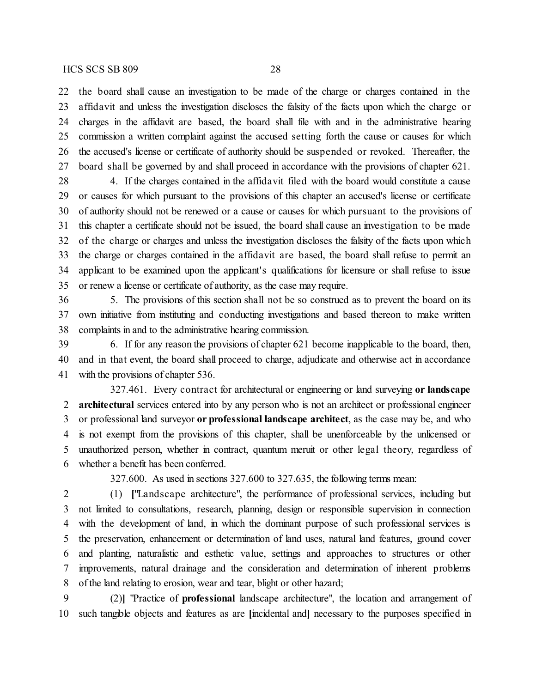the board shall cause an investigation to be made of the charge or charges contained in the affidavit and unless the investigation discloses the falsity of the facts upon which the charge or charges in the affidavit are based, the board shall file with and in the administrative hearing commission a written complaint against the accused setting forth the cause or causes for which the accused's license or certificate of authority should be suspended or revoked. Thereafter, the board shall be governed by and shall proceed in accordance with the provisions of chapter 621.

 4. If the charges contained in the affidavit filed with the board would constitute a cause or causes for which pursuant to the provisions of this chapter an accused's license or certificate of authority should not be renewed or a cause or causes for which pursuant to the provisions of this chapter a certificate should not be issued, the board shall cause an investigation to be made of the charge or charges and unless the investigation discloses the falsity of the facts upon which the charge or charges contained in the affidavit are based, the board shall refuse to permit an applicant to be examined upon the applicant's qualifications for licensure or shall refuse to issue or renew a license or certificate of authority, as the case may require.

 5. The provisions of this section shall not be so construed as to prevent the board on its own initiative from instituting and conducting investigations and based thereon to make written complaints in and to the administrative hearing commission.

 6. If for any reason the provisions of chapter 621 become inapplicable to the board, then, and in that event, the board shall proceed to charge, adjudicate and otherwise act in accordance with the provisions of chapter 536.

327.461. Every contract for architectural or engineering or land surveying **or landscape architectural** services entered into by any person who is not an architect or professional engineer or professional land surveyor **or professional landscape architect**, as the case may be, and who is not exempt from the provisions of this chapter, shall be unenforceable by the unlicensed or unauthorized person, whether in contract, quantum meruit or other legal theory, regardless of whether a benefit has been conferred.

327.600. As used in sections 327.600 to 327.635, the following terms mean:

 (1) **[**"Landscape architecture", the performance of professional services, including but not limited to consultations, research, planning, design or responsible supervision in connection with the development of land, in which the dominant purpose of such professional services is the preservation, enhancement or determination of land uses, natural land features, ground cover and planting, naturalistic and esthetic value, settings and approaches to structures or other improvements, natural drainage and the consideration and determination of inherent problems of the land relating to erosion, wear and tear, blight or other hazard;

 (2)**]** "Practice of **professional** landscape architecture", the location and arrangement of such tangible objects and features as are **[**incidental and**]** necessary to the purposes specified in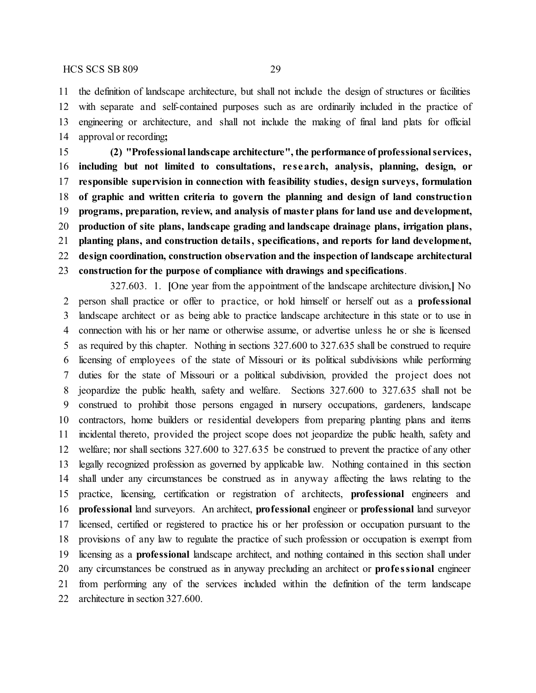the definition of landscape architecture, but shall not include the design of structures or facilities with separate and self-contained purposes such as are ordinarily included in the practice of engineering or architecture, and shall not include the making of final land plats for official approval or recording**;**

 **(2) "Professional landscape architecture", the performance of professionalservices, including but not limited to consultations, re search, analysis, planning, design, or responsible supervision in connection with feasibility studies, design surveys, formulation of graphic and written criteria to govern the planning and design of land construction programs, preparation, review, and analysis of master plans for land use and development, production of site plans, landscape grading and landscape drainage plans, irrigation plans, planting plans, and construction details, specifications, and reports for land development, design coordination, construction observation and the inspection of landscape architectural construction for the purpose of compliance with drawings and specifications**.

327.603. 1. **[**One year from the appointment of the landscape architecture division,**]** No person shall practice or offer to practice, or hold himself or herself out as a **professional** landscape architect or as being able to practice landscape architecture in this state or to use in connection with his or her name or otherwise assume, or advertise unless he or she is licensed as required by this chapter. Nothing in sections 327.600 to 327.635 shall be construed to require licensing of employees of the state of Missouri or its political subdivisions while performing duties for the state of Missouri or a political subdivision, provided the project does not jeopardize the public health, safety and welfare. Sections 327.600 to 327.635 shall not be construed to prohibit those persons engaged in nursery occupations, gardeners, landscape contractors, home builders or residential developers from preparing planting plans and items incidental thereto, provided the project scope does not jeopardize the public health, safety and welfare; nor shall sections 327.600 to 327.635 be construed to prevent the practice of any other legally recognized profession as governed by applicable law. Nothing contained in this section shall under any circumstances be construed as in anyway affecting the laws relating to the practice, licensing, certification or registration of architects, **professional** engineers and **professional** land surveyors. An architect, **professional** engineer or **professional** land surveyor licensed, certified or registered to practice his or her profession or occupation pursuant to the provisions of any law to regulate the practice of such profession or occupation is exempt from licensing as a **professional** landscape architect, and nothing contained in this section shall under any circumstances be construed as in anyway precluding an architect or **profe ssional** engineer from performing any of the services included within the definition of the term landscape architecture in section 327.600.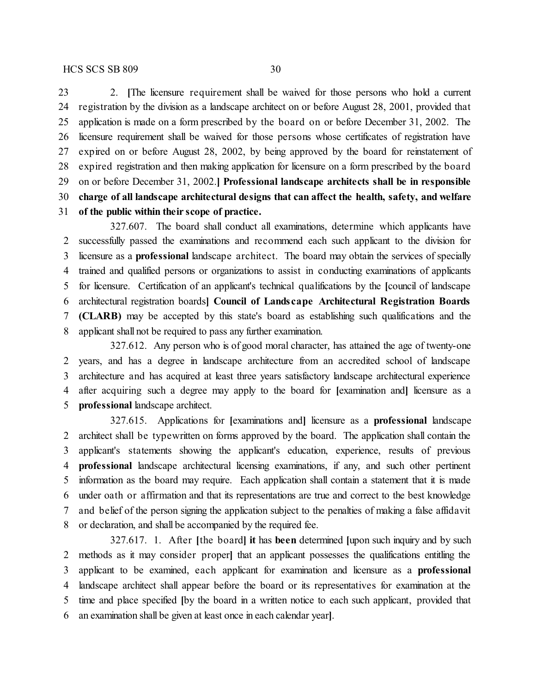### HCS SCS SB 809 30

 2. **[**The licensure requirement shall be waived for those persons who hold a current registration by the division as a landscape architect on or before August 28, 2001, provided that application is made on a form prescribed by the board on or before December 31, 2002. The licensure requirement shall be waived for those persons whose certificates of registration have expired on or before August 28, 2002, by being approved by the board for reinstatement of expired registration and then making application for licensure on a form prescribed by the board on or before December 31, 2002.**] Professional landscape architects shall be in responsible charge of all landscape architectural designs that can affect the health, safety, and welfare of the public within their scope of practice.**

327.607. The board shall conduct all examinations, determine which applicants have successfully passed the examinations and recommend each such applicant to the division for licensure as a **professional** landscape architect. The board may obtain the services of specially trained and qualified persons or organizations to assist in conducting examinations of applicants for licensure. Certification of an applicant's technical qualifications by the **[**council of landscape architectural registration boards**] Council of Landscape Architectural Registration Boards (CLARB)** may be accepted by this state's board as establishing such qualifications and the applicant shall not be required to pass any further examination.

327.612. Any person who is of good moral character, has attained the age of twenty-one years, and has a degree in landscape architecture from an accredited school of landscape architecture and has acquired at least three years satisfactory landscape architectural experience after acquiring such a degree may apply to the board for **[**examination and**]** licensure as a **professional** landscape architect.

327.615. Applications for **[**examinations and**]** licensure as a **professional** landscape architect shall be typewritten on forms approved by the board. The application shall contain the applicant's statements showing the applicant's education, experience, results of previous **professional** landscape architectural licensing examinations, if any, and such other pertinent information as the board may require. Each application shall contain a statement that it is made under oath or affirmation and that its representations are true and correct to the best knowledge and belief of the person signing the application subject to the penalties of making a false affidavit or declaration, and shall be accompanied by the required fee.

327.617. 1. After **[**the board**] it** has **been** determined **[**upon such inquiry and by such methods as it may consider proper**]** that an applicant possesses the qualifications entitling the applicant to be examined, each applicant for examination and licensure as a **professional** landscape architect shall appear before the board or its representatives for examination at the time and place specified **[**by the board in a written notice to each such applicant, provided that an examination shall be given at least once in each calendar year**]**.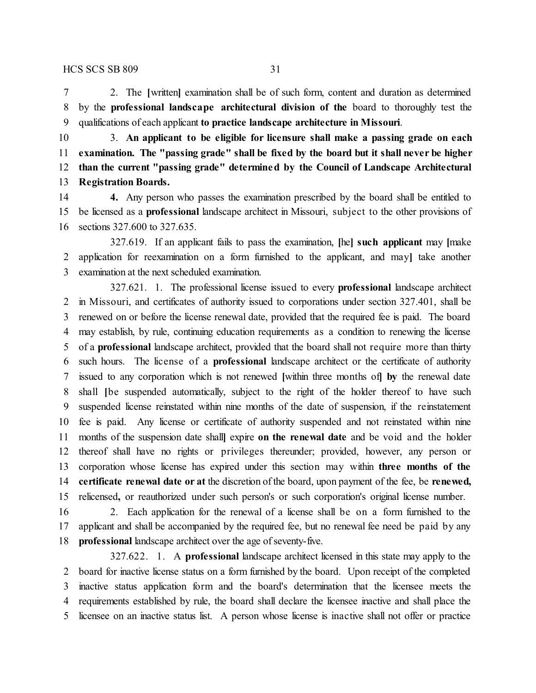2. The **[**written**]** examination shall be of such form, content and duration as determined by the **professional landscape architectural division of the** board to thoroughly test the qualifications of each applicant **to practice landscape architecture in Missouri**.

 3. **An applicant to be eligible for licensure shall make a passing grade on each examination. The "passing grade" shall be fixed by the board but it shall never be higher than the current "passing grade" determined by the Council of Landscape Architectural Registration Boards.**

 **4.** Any person who passes the examination prescribed by the board shall be entitled to be licensed as a **professional** landscape architect in Missouri, subject to the other provisions of sections 327.600 to 327.635.

327.619. If an applicant fails to pass the examination, **[**he**] such applicant** may **[**make application for reexamination on a form furnished to the applicant, and may**]** take another examination at the next scheduled examination.

327.621. 1. The professional license issued to every **professional** landscape architect in Missouri, and certificates of authority issued to corporations under section 327.401, shall be renewed on or before the license renewal date, provided that the required fee is paid. The board may establish, by rule, continuing education requirements as a condition to renewing the license of a **professional** landscape architect, provided that the board shall not require more than thirty such hours. The license of a **professional** landscape architect or the certificate of authority issued to any corporation which is not renewed **[**within three months of**] by** the renewal date shall **[**be suspended automatically, subject to the right of the holder thereof to have such suspended license reinstated within nine months of the date of suspension, if the reinstatement fee is paid. Any license or certificate of authority suspended and not reinstated within nine months of the suspension date shall**]** expire **on the renewal date** and be void and the holder thereof shall have no rights or privileges thereunder; provided, however, any person or corporation whose license has expired under this section may within **three months of the certificate renewal date or at** the discretion of the board, upon payment of the fee, be **renewed,** relicensed**,** or reauthorized under such person's or such corporation's original license number.

 2. Each application for the renewal of a license shall be on a form furnished to the applicant and shall be accompanied by the required fee, but no renewal fee need be paid by any **professional** landscape architect over the age of seventy-five.

327.622. 1. A **professional** landscape architect licensed in this state may apply to the board for inactive license status on a form furnished by the board. Upon receipt of the completed inactive status application form and the board's determination that the licensee meets the requirements established by rule, the board shall declare the licensee inactive and shall place the licensee on an inactive status list. A person whose license is inactive shall not offer or practice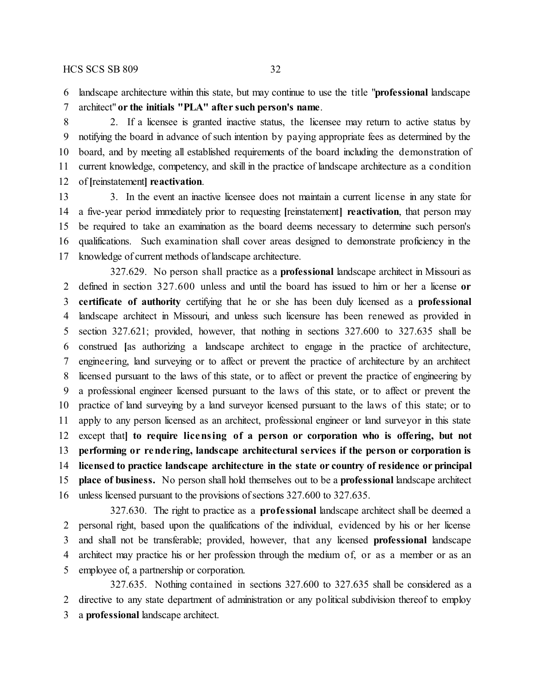landscape architecture within this state, but may continue to use the title "**professional** landscape

architect" **or the initials "PLA" after such person's name**.

 2. If a licensee is granted inactive status, the licensee may return to active status by notifying the board in advance of such intention by paying appropriate fees as determined by the board, and by meeting all established requirements of the board including the demonstration of current knowledge, competency, and skill in the practice of landscape architecture as a condition of **[**reinstatement**] reactivation**.

 3. In the event an inactive licensee does not maintain a current license in any state for a five-year period immediately prior to requesting **[**reinstatement**] reactivation**, that person may be required to take an examination as the board deems necessary to determine such person's qualifications. Such examination shall cover areas designed to demonstrate proficiency in the 17 knowledge of current methods of landscape architecture.

327.629. No person shall practice as a **professional** landscape architect in Missouri as defined in section 327.600 unless and until the board has issued to him or her a license **or certificate of authority** certifying that he or she has been duly licensed as a **professional** landscape architect in Missouri, and unless such licensure has been renewed as provided in section 327.621; provided, however, that nothing in sections 327.600 to 327.635 shall be construed **[**as authorizing a landscape architect to engage in the practice of architecture, engineering, land surveying or to affect or prevent the practice of architecture by an architect licensed pursuant to the laws of this state, or to affect or prevent the practice of engineering by a professional engineer licensed pursuant to the laws of this state, or to affect or prevent the practice of land surveying by a land surveyor licensed pursuant to the laws of this state; or to apply to any person licensed as an architect, professional engineer or land surveyor in this state except that**] to require licensing of a person or corporation who is offering, but not performing or rende ring, landscape architectural services if the person or corporation is licensed to practice landscape architecture in the state or country of residence or principal place of business.** No person shall hold themselves out to be a **professional** landscape architect unless licensed pursuant to the provisions of sections 327.600 to 327.635.

327.630. The right to practice as a **profe ssional** landscape architect shall be deemed a personal right, based upon the qualifications of the individual, evidenced by his or her license and shall not be transferable; provided, however, that any licensed **professional** landscape architect may practice his or her profession through the medium of, or as a member or as an employee of, a partnership or corporation.

327.635. Nothing contained in sections 327.600 to 327.635 shall be considered as a directive to any state department of administration or any political subdivision thereof to employ a **professional** landscape architect.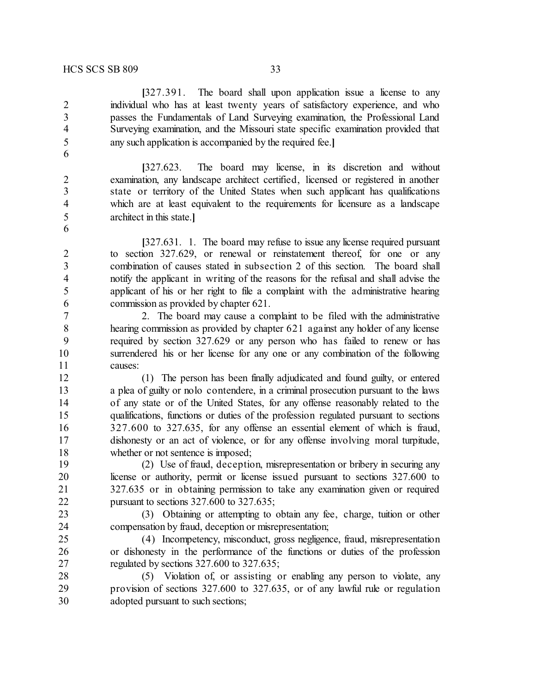**[**327.391. The board shall upon application issue a license to any individual who has at least twenty years of satisfactory experience, and who passes the Fundamentals of Land Surveying examination, the Professional Land Surveying examination, and the Missouri state specific examination provided that any such application is accompanied by the required fee.**]**

**[**327.623. The board may license, in its discretion and without examination, any landscape architect certified, licensed or registered in another state or territory of the United States when such applicant has qualifications which are at least equivalent to the requirements for licensure as a landscape architect in this state.**]**

**[**327.631. 1. The board may refuse to issue any license required pursuant to section 327.629, or renewal or reinstatement thereof, for one or any combination of causes stated in subsection 2 of this section. The board shall notify the applicant in writing of the reasons for the refusal and shall advise the applicant of his or her right to file a complaint with the administrative hearing commission as provided by chapter 621.

 2. The board may cause a complaint to be filed with the administrative hearing commission as provided by chapter 621 against any holder of any license required by section 327.629 or any person who has failed to renew or has surrendered his or her license for any one or any combination of the following causes:

 (1) The person has been finally adjudicated and found guilty, or entered a plea of guilty or nolo contendere, in a criminal prosecution pursuant to the laws of any state or of the United States, for any offense reasonably related to the qualifications, functions or duties of the profession regulated pursuant to sections 327.600 to 327.635, for any offense an essential element of which is fraud, dishonesty or an act of violence, or for any offense involving moral turpitude, 18 whether or not sentence is imposed;

 (2) Use of fraud, deception, misrepresentation or bribery in securing any license or authority, permit or license issued pursuant to sections 327.600 to 327.635 or in obtaining permission to take any examination given or required pursuant to sections 327.600 to 327.635;

 (3) Obtaining or attempting to obtain any fee, charge, tuition or other compensation by fraud, deception or misrepresentation;

 (4) Incompetency, misconduct, gross negligence, fraud, misrepresentation or dishonesty in the performance of the functions or duties of the profession regulated by sections 327.600 to 327.635;

 (5) Violation of, or assisting or enabling any person to violate, any provision of sections 327.600 to 327.635, or of any lawful rule or regulation adopted pursuant to such sections;